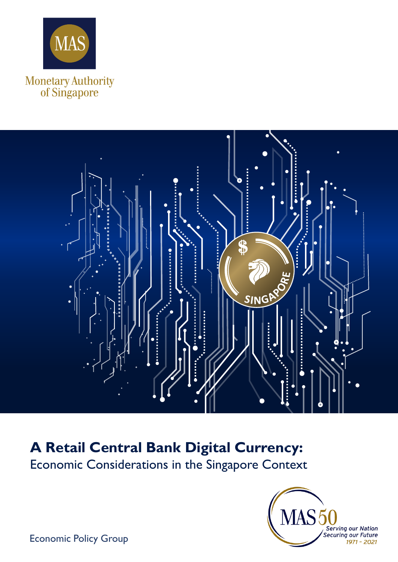



# **A Retail Central Bank Digital Currency:**

Economic Considerations in the Singapore Context



Economic Policy Group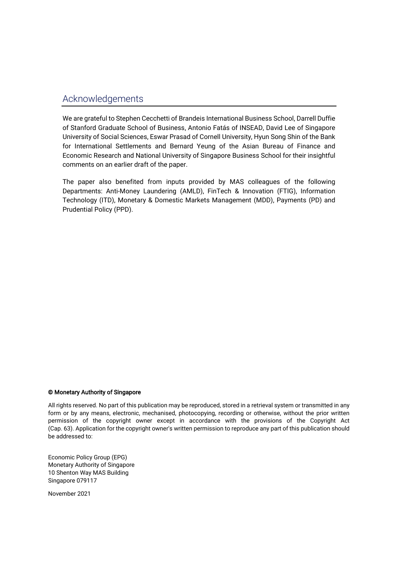### Acknowledgements

We are grateful to Stephen Cecchetti of Brandeis International Business School, Darrell Duffie of Stanford Graduate School of Business, Antonio Fatás of INSEAD, David Lee of Singapore University of Social Sciences, Eswar Prasad of Cornell University, Hyun Song Shin of the Bank for International Settlements and Bernard Yeung of the Asian Bureau of Finance and Economic Research and National University of Singapore Business School for their insightful comments on an earlier draft of the paper.

The paper also benefited from inputs provided by MAS colleagues of the following Departments: Anti-Money Laundering (AMLD), FinTech & Innovation (FTIG), Information Technology (ITD), Monetary & Domestic Markets Management (MDD), Payments (PD) and Prudential Policy (PPD).

#### © Monetary Authority of Singapore

All rights reserved. No part of this publication may be reproduced, stored in a retrieval system or transmitted in any form or by any means, electronic, mechanised, photocopying, recording or otherwise, without the prior written permission of the copyright owner except in accordance with the provisions of the Copyright Act (Cap. 63). Application for the copyright owner's written permission to reproduce any part of this publication should be addressed to:

Economic Policy Group (EPG) Monetary Authority of Singapore 10 Shenton Way MAS Building Singapore 079117

November 2021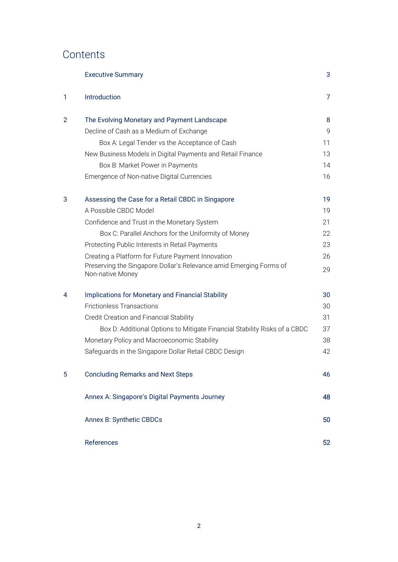## **Contents**

|   | <b>Executive Summary</b>                                                               | 3              |
|---|----------------------------------------------------------------------------------------|----------------|
| 1 | Introduction                                                                           | $\overline{7}$ |
| 2 | The Evolving Monetary and Payment Landscape                                            | 8              |
|   | Decline of Cash as a Medium of Exchange                                                | 9              |
|   | Box A: Legal Tender vs the Acceptance of Cash                                          | 11             |
|   | New Business Models in Digital Payments and Retail Finance                             | 13             |
|   | Box B: Market Power in Payments                                                        | 14             |
|   | Emergence of Non-native Digital Currencies                                             | 16             |
| 3 | Assessing the Case for a Retail CBDC in Singapore                                      | 19             |
|   | A Possible CBDC Model                                                                  | 19             |
|   | Confidence and Trust in the Monetary System                                            | 21             |
|   | Box C: Parallel Anchors for the Uniformity of Money                                    | 22             |
|   | Protecting Public Interests in Retail Payments                                         | 23             |
|   | Creating a Platform for Future Payment Innovation                                      | 26             |
|   | Preserving the Singapore Dollar's Relevance amid Emerging Forms of<br>Non-native Money | 29             |
| 4 | <b>Implications for Monetary and Financial Stability</b>                               | 30             |
|   | <b>Frictionless Transactions</b>                                                       | 30             |
|   | Credit Creation and Financial Stability                                                | 31             |
|   | Box D: Additional Options to Mitigate Financial Stability Risks of a CBDC              | 37             |
|   | Monetary Policy and Macroeconomic Stability                                            | 38             |
|   | Safeguards in the Singapore Dollar Retail CBDC Design                                  | 42             |
| 5 | <b>Concluding Remarks and Next Steps</b>                                               | 46             |
|   | Annex A: Singapore's Digital Payments Journey                                          | 48             |
|   | Annex B: Synthetic CBDCs                                                               | 50             |
|   | References                                                                             | 52             |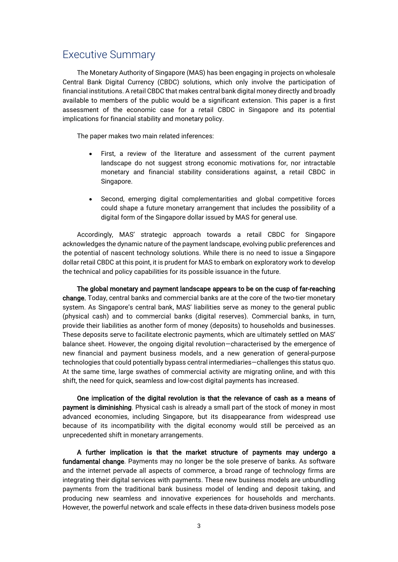### Executive Summary

The Monetary Authority of Singapore (MAS) has been engaging in projects on wholesale Central Bank Digital Currency (CBDC) solutions, which only involve the participation of financial institutions. A retail CBDC that makes central bank digital money directly and broadly available to members of the public would be a significant extension. This paper is a first assessment of the economic case for a retail CBDC in Singapore and its potential implications for financial stability and monetary policy.

The paper makes two main related inferences:

- First, a review of the literature and assessment of the current payment landscape do not suggest strong economic motivations for, nor intractable monetary and financial stability considerations against, a retail CBDC in Singapore.
- Second, emerging digital complementarities and global competitive forces could shape a future monetary arrangement that includes the possibility of a digital form of the Singapore dollar issued by MAS for general use.

Accordingly, MAS' strategic approach towards a retail CBDC for Singapore acknowledges the dynamic nature of the payment landscape, evolving public preferences and the potential of nascent technology solutions. While there is no need to issue a Singapore dollar retail CBDC at this point, it is prudent for MAS to embark on exploratory work to develop the technical and policy capabilities for its possible issuance in the future.

The global monetary and payment landscape appears to be on the cusp of far-reaching change. Today, central banks and commercial banks are at the core of the two-tier monetary system. As Singapore's central bank, MAS' liabilities serve as money to the general public (physical cash) and to commercial banks (digital reserves). Commercial banks, in turn, provide their liabilities as another form of money (deposits) to households and businesses. These deposits serve to facilitate electronic payments, which are ultimately settled on MAS' balance sheet. However, the ongoing digital revolution—characterised by the emergence of new financial and payment business models, and a new generation of general-purpose technologies that could potentially bypass central intermediaries—challenges this status quo. At the same time, large swathes of commercial activity are migrating online, and with this shift, the need for quick, seamless and low-cost digital payments has increased.

One implication of the digital revolution is that the relevance of cash as a means of payment is diminishing. Physical cash is already a small part of the stock of money in most advanced economies, including Singapore, but its disappearance from widespread use because of its incompatibility with the digital economy would still be perceived as an unprecedented shift in monetary arrangements.

A further implication is that the market structure of payments may undergo a fundamental change. Payments may no longer be the sole preserve of banks. As software and the internet pervade all aspects of commerce, a broad range of technology firms are integrating their digital services with payments. These new business models are unbundling payments from the traditional bank business model of lending and deposit taking, and producing new seamless and innovative experiences for households and merchants. However, the powerful network and scale effects in these data-driven business models pose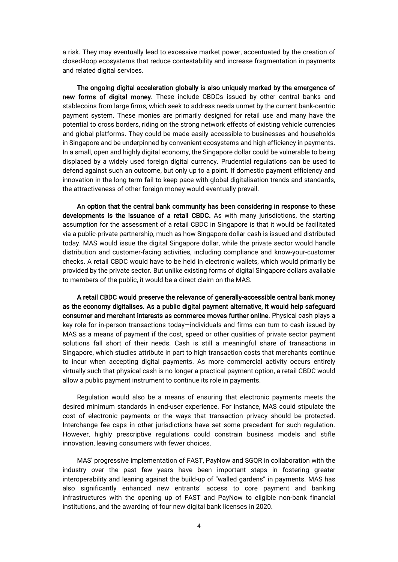a risk. They may eventually lead to excessive market power, accentuated by the creation of closed-loop ecosystems that reduce contestability and increase fragmentation in payments and related digital services.

The ongoing digital acceleration globally is also uniquely marked by the emergence of new forms of digital money. These include CBDCs issued by other central banks and stablecoins from large firms, which seek to address needs unmet by the current bank-centric payment system. These monies are primarily designed for retail use and many have the potential to cross borders, riding on the strong network effects of existing vehicle currencies and global platforms. They could be made easily accessible to businesses and households in Singapore and be underpinned by convenient ecosystems and high efficiency in payments. In a small, open and highly digital economy, the Singapore dollar could be vulnerable to being displaced by a widely used foreign digital currency. Prudential regulations can be used to defend against such an outcome, but only up to a point. If domestic payment efficiency and innovation in the long term fail to keep pace with global digitalisation trends and standards, the attractiveness of other foreign money would eventually prevail.

An option that the central bank community has been considering in response to these developments is the issuance of a retail CBDC. As with many jurisdictions, the starting assumption for the assessment of a retail CBDC in Singapore is that it would be facilitated via a public-private partnership, much as how Singapore dollar cash is issued and distributed today. MAS would issue the digital Singapore dollar, while the private sector would handle distribution and customer-facing activities, including compliance and know-your-customer checks. A retail CBDC would have to be held in electronic wallets, which would primarily be provided by the private sector. But unlike existing forms of digital Singapore dollars available to members of the public, it would be a direct claim on the MAS.

A retail CBDC would preserve the relevance of generally-accessible central bank money as the economy digitalises. As a public digital payment alternative, it would help safeguard consumer and merchant interests as commerce moves further online. Physical cash plays a key role for in-person transactions today—individuals and firms can turn to cash issued by MAS as a means of payment if the cost, speed or other qualities of private sector payment solutions fall short of their needs. Cash is still a meaningful share of transactions in Singapore, which studies attribute in part to high transaction costs that merchants continue to incur when accepting digital payments. As more commercial activity occurs entirely virtually such that physical cash is no longer a practical payment option, a retail CBDC would allow a public payment instrument to continue its role in payments.

Regulation would also be a means of ensuring that electronic payments meets the desired minimum standards in end-user experience. For instance, MAS could stipulate the cost of electronic payments or the ways that transaction privacy should be protected. Interchange fee caps in other jurisdictions have set some precedent for such regulation. However, highly prescriptive regulations could constrain business models and stifle innovation, leaving consumers with fewer choices.

MAS' progressive implementation of FAST, PayNow and SGQR in collaboration with the industry over the past few years have been important steps in fostering greater interoperability and leaning against the build-up of "walled gardens" in payments. MAS has also significantly enhanced new entrants' access to core payment and banking infrastructures with the opening up of FAST and PayNow to eligible non-bank financial institutions, and the awarding of four new digital bank licenses in 2020.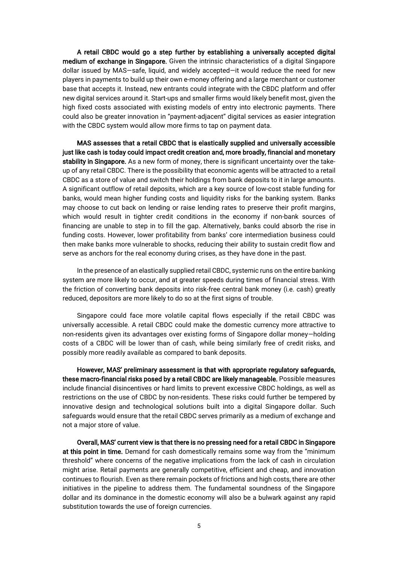A retail CBDC would go a step further by establishing a universally accepted digital medium of exchange in Singapore. Given the intrinsic characteristics of a digital Singapore dollar issued by MAS—safe, liquid, and widely accepted—it would reduce the need for new players in payments to build up their own e-money offering and a large merchant or customer base that accepts it. Instead, new entrants could integrate with the CBDC platform and offer new digital services around it. Start-ups and smaller firms would likely benefit most, given the high fixed costs associated with existing models of entry into electronic payments. There could also be greater innovation in "payment-adjacent" digital services as easier integration with the CBDC system would allow more firms to tap on payment data.

MAS assesses that a retail CBDC that is elastically supplied and universally accessible just like cash is today could impact credit creation and, more broadly, financial and monetary stability in Singapore. As a new form of money, there is significant uncertainty over the takeup of any retail CBDC. There is the possibility that economic agents will be attracted to a retail CBDC as a store of value and switch their holdings from bank deposits to it in large amounts. A significant outflow of retail deposits, which are a key source of low-cost stable funding for banks, would mean higher funding costs and liquidity risks for the banking system. Banks may choose to cut back on lending or raise lending rates to preserve their profit margins, which would result in tighter credit conditions in the economy if non-bank sources of financing are unable to step in to fill the gap. Alternatively, banks could absorb the rise in funding costs. However, lower profitability from banks' core intermediation business could then make banks more vulnerable to shocks, reducing their ability to sustain credit flow and serve as anchors for the real economy during crises, as they have done in the past.

In the presence of an elastically supplied retail CBDC, systemic runs on the entire banking system are more likely to occur, and at greater speeds during times of financial stress. With the friction of converting bank deposits into risk-free central bank money (i.e. cash) greatly reduced, depositors are more likely to do so at the first signs of trouble.

Singapore could face more volatile capital flows especially if the retail CBDC was universally accessible. A retail CBDC could make the domestic currency more attractive to non-residents given its advantages over existing forms of Singapore dollar money—holding costs of a CBDC will be lower than of cash, while being similarly free of credit risks, and possibly more readily available as compared to bank deposits.

However, MAS' preliminary assessment is that with appropriate regulatory safeguards, these macro-financial risks posed by a retail CBDC are likely manageable. Possible measures include financial disincentives or hard limits to prevent excessive CBDC holdings, as well as restrictions on the use of CBDC by non-residents. These risks could further be tempered by innovative design and technological solutions built into a digital Singapore dollar. Such safeguards would ensure that the retail CBDC serves primarily as a medium of exchange and not a major store of value.

Overall, MAS' current view is that there is no pressing need for a retail CBDC in Singapore at this point in time. Demand for cash domestically remains some way from the "minimum threshold" where concerns of the negative implications from the lack of cash in circulation might arise. Retail payments are generally competitive, efficient and cheap, and innovation continues to flourish. Even as there remain pockets of frictions and high costs, there are other initiatives in the pipeline to address them. The fundamental soundness of the Singapore dollar and its dominance in the domestic economy will also be a bulwark against any rapid substitution towards the use of foreign currencies.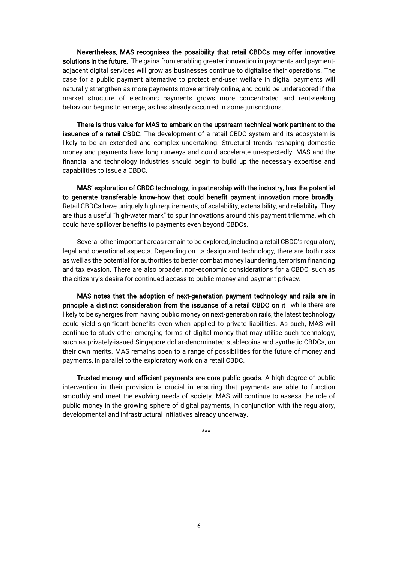Nevertheless, MAS recognises the possibility that retail CBDCs may offer innovative solutions in the future. The gains from enabling greater innovation in payments and paymentadjacent digital services will grow as businesses continue to digitalise their operations. The case for a public payment alternative to protect end-user welfare in digital payments will naturally strengthen as more payments move entirely online, and could be underscored if the market structure of electronic payments grows more concentrated and rent-seeking behaviour begins to emerge, as has already occurred in some jurisdictions.

There is thus value for MAS to embark on the upstream technical work pertinent to the issuance of a retail CBDC. The development of a retail CBDC system and its ecosystem is likely to be an extended and complex undertaking. Structural trends reshaping domestic money and payments have long runways and could accelerate unexpectedly. MAS and the financial and technology industries should begin to build up the necessary expertise and capabilities to issue a CBDC.

MAS' exploration of CBDC technology, in partnership with the industry, has the potential to generate transferable know-how that could benefit payment innovation more broadly. Retail CBDCs have uniquely high requirements, of scalability, extensibility, and reliability. They are thus a useful "high-water mark" to spur innovations around this payment trilemma, which could have spillover benefits to payments even beyond CBDCs.

Several other important areas remain to be explored, including a retail CBDC's regulatory, legal and operational aspects. Depending on its design and technology, there are both risks as well as the potential for authorities to better combat money laundering, terrorism financing and tax evasion. There are also broader, non-economic considerations for a CBDC, such as the citizenry's desire for continued access to public money and payment privacy.

MAS notes that the adoption of next-generation payment technology and rails are in principle a distinct consideration from the issuance of a retail CBDC on it—while there are likely to be synergies from having public money on next-generation rails, the latest technology could yield significant benefits even when applied to private liabilities. As such, MAS will continue to study other emerging forms of digital money that may utilise such technology, such as privately-issued Singapore dollar-denominated stablecoins and synthetic CBDCs, on their own merits. MAS remains open to a range of possibilities for the future of money and payments, in parallel to the exploratory work on a retail CBDC.

Trusted money and efficient payments are core public goods. A high degree of public intervention in their provision is crucial in ensuring that payments are able to function smoothly and meet the evolving needs of society. MAS will continue to assess the role of public money in the growing sphere of digital payments, in conjunction with the regulatory, developmental and infrastructural initiatives already underway.

\*\*\*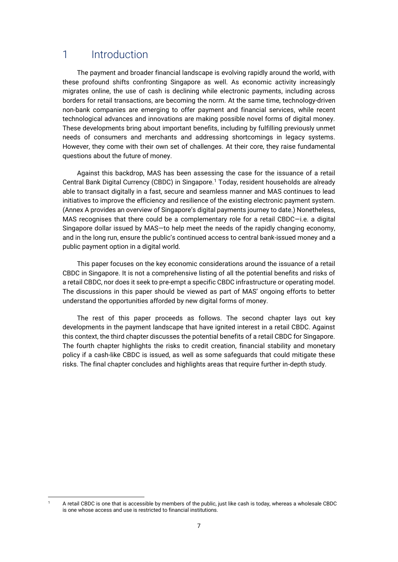## 1 Introduction

The payment and broader financial landscape is evolving rapidly around the world, with these profound shifts confronting Singapore as well. As economic activity increasingly migrates online, the use of cash is declining while electronic payments, including across borders for retail transactions, are becoming the norm. At the same time, technology-driven non-bank companies are emerging to offer payment and financial services, while recent technological advances and innovations are making possible novel forms of digital money. These developments bring about important benefits, including by fulfilling previously unmet needs of consumers and merchants and addressing shortcomings in legacy systems. However, they come with their own set of challenges. At their core, they raise fundamental questions about the future of money.

Against this backdrop, MAS has been assessing the case for the issuance of a retail Central Bank Digital Currency (CBDC) in Singapore.<sup>1</sup> Today, resident households are already able to transact digitally in a fast, secure and seamless manner and MAS continues to lead initiatives to improve the efficiency and resilience of the existing electronic payment system. (Annex A provides an overview of Singapore's digital payments journey to date.) Nonetheless, MAS recognises that there could be a complementary role for a retail CBDC—i.e. a digital Singapore dollar issued by MAS—to help meet the needs of the rapidly changing economy, and in the long run, ensure the public's continued access to central bank-issued money and a public payment option in a digital world.

This paper focuses on the key economic considerations around the issuance of a retail CBDC in Singapore. It is not a comprehensive listing of all the potential benefits and risks of a retail CBDC, nor does it seek to pre-empt a specific CBDC infrastructure or operating model. The discussions in this paper should be viewed as part of MAS' ongoing efforts to better understand the opportunities afforded by new digital forms of money.

The rest of this paper proceeds as follows. The second chapter lays out key developments in the payment landscape that have ignited interest in a retail CBDC. Against this context, the third chapter discusses the potential benefits of a retail CBDC for Singapore. The fourth chapter highlights the risks to credit creation, financial stability and monetary policy if a cash-like CBDC is issued, as well as some safeguards that could mitigate these risks. The final chapter concludes and highlights areas that require further in-depth study.

<sup>&</sup>lt;sup>1</sup> A retail CBDC is one that is accessible by members of the public, just like cash is today, whereas a wholesale CBDC is one whose access and use is restricted to financial institutions.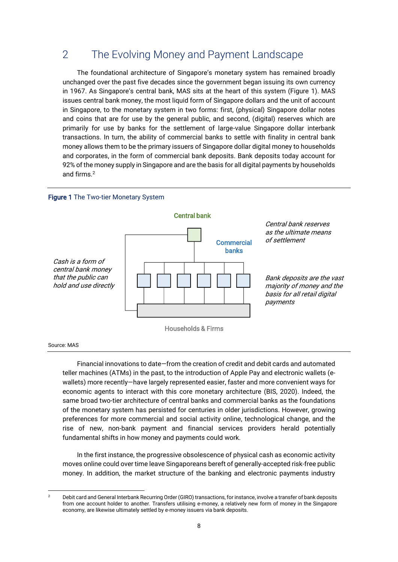## 2 The Evolving Money and Payment Landscape

The foundational architecture of Singapore's monetary system has remained broadly unchanged over the past five decades since the government began issuing its own currency in 1967. As Singapore's central bank, MAS sits at the heart of this system (Figure 1). MAS issues central bank money, the most liquid form of Singapore dollars and the unit of account in Singapore, to the monetary system in two forms: first, (physical) Singapore dollar notes and coins that are for use by the general public, and second, (digital) reserves which are primarily for use by banks for the settlement of large-value Singapore dollar interbank transactions. In turn, the ability of commercial banks to settle with finality in central bank money allows them to be the primary issuers of Singapore dollar digital money to households and corporates, in the form of commercial bank deposits. Bank deposits today account for 92% of the money supply in Singapore and are the basis for all digital payments by households and firms.<sup>2</sup>





Source: MAS

Financial innovations to date—from the creation of credit and debit cards and automated teller machines (ATMs) in the past, to the introduction of Apple Pay and electronic wallets (ewallets) more recently—have largely represented easier, faster and more convenient ways for economic agents to interact with this core monetary architecture (BIS, 2020). Indeed, the same broad two-tier architecture of central banks and commercial banks as the foundations of the monetary system has persisted for centuries in older jurisdictions. However, growing preferences for more commercial and social activity online, technological change, and the rise of new, non-bank payment and financial services providers herald potentially fundamental shifts in how money and payments could work.

In the first instance, the progressive obsolescence of physical cash as economic activity moves online could over time leave Singaporeans bereft of generally-accepted risk-free public money. In addition, the market structure of the banking and electronic payments industry

<sup>&</sup>lt;sup>2</sup> Debit card and General Interbank Recurring Order (GIRO) transactions, for instance, involve a transfer of bank deposits from one account holder to another. Transfers utilising e-money, a relatively new form of money in the Singapore economy, are likewise ultimately settled by e-money issuers via bank deposits.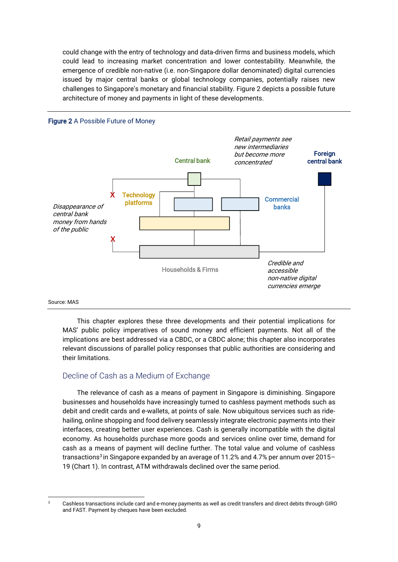could change with the entry of technology and data-driven firms and business models, which could lead to increasing market concentration and lower contestability. Meanwhile, the emergence of credible non-native (i.e. non-Singapore dollar denominated) digital currencies issued by major central banks or global technology companies, potentially raises new challenges to Singapore's monetary and financial stability. Figure 2 depicts a possible future architecture of money and payments in light of these developments.



#### Source: MAS

This chapter explores these three developments and their potential implications for MAS' public policy imperatives of sound money and efficient payments. Not all of the implications are best addressed via a CBDC, or a CBDC alone; this chapter also incorporates relevant discussions of parallel policy responses that public authorities are considering and their limitations.

#### Decline of Cash as a Medium of Exchange

The relevance of cash as a means of payment in Singapore is diminishing. Singapore businesses and households have increasingly turned to cashless payment methods such as debit and credit cards and e-wallets, at points of sale. Now ubiquitous services such as ridehailing, online shopping and food delivery seamlessly integrate electronic payments into their interfaces, creating better user experiences. Cash is generally incompatible with the digital economy. As households purchase more goods and services online over time, demand for cash as a means of payment will decline further. The total value and volume of cashless transactions<sup>3</sup> in Singapore expanded by an average of 11.2% and 4.7% per annum over 2015– 19 (Chart 1). In contrast, ATM withdrawals declined over the same period.

<sup>&</sup>lt;sup>3</sup> Cashless transactions include card and e-money payments as well as credit transfers and direct debits through GIRO and FAST. Payment by cheques have been excluded.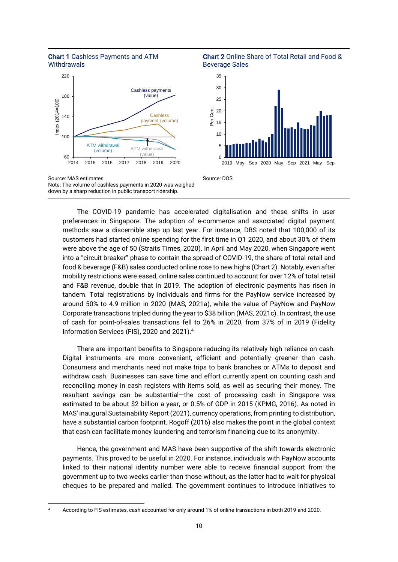

60

100

140

Index (2014=100)

 $Index (2014 = 100)$ 

180

220





down by a sharp reduction in public transport ridership.

The COVID-19 pandemic has accelerated digitalisation and these shifts in user preferences in Singapore. The adoption of e-commerce and associated digital payment methods saw a discernible step up last year. For instance, DBS noted that 100,000 of its customers had started online spending for the first time in Q1 2020, and about 30% of them were above the age of 50 (Straits Times, 2020). In April and May 2020, when Singapore went into a "circuit breaker" phase to contain the spread of COVID-19, the share of total retail and food & beverage (F&B) sales conducted online rose to new highs (Chart 2). Notably, even after mobility restrictions were eased, online sales continued to account for over 12% of total retail and F&B revenue, double that in 2019. The adoption of electronic payments has risen in tandem. Total registrations by individuals and firms for the PayNow service increased by around 50% to 4.9 million in 2020 (MAS, 2021a), while the value of PayNow and PayNow Corporate transactions tripled during the year to \$38 billion (MAS, 2021c). In contrast, the use of cash for point-of-sales transactions fell to 26% in 2020, from 37% of in 2019 (Fidelity Information Services (FIS), 2020 and 2021).<sup>4</sup>

There are important benefits to Singapore reducing its relatively high reliance on cash. Digital instruments are more convenient, efficient and potentially greener than cash. Consumers and merchants need not make trips to bank branches or ATMs to deposit and withdraw cash. Businesses can save time and effort currently spent on counting cash and reconciling money in cash registers with items sold, as well as securing their money. The resultant savings can be substantial—the cost of processing cash in Singapore was estimated to be about \$2 billion a year, or 0.5% of GDP in 2015 (KPMG, 2016). As noted in MAS' inaugural Sustainability Report (2021), currency operations, from printing to distribution, have a substantial carbon footprint. Rogoff (2016) also makes the point in the global context that cash can facilitate money laundering and terrorism financing due to its anonymity.

Hence, the government and MAS have been supportive of the shift towards electronic payments. This proved to be useful in 2020. For instance, individuals with PayNow accounts linked to their national identity number were able to receive financial support from the government up to two weeks earlier than those without, as the latter had to wait for physical cheques to be prepared and mailed. The government continues to introduce initiatives to

<sup>4</sup> According to FIS estimates, cash accounted for only around 1% of online transactions in both 2019 and 2020.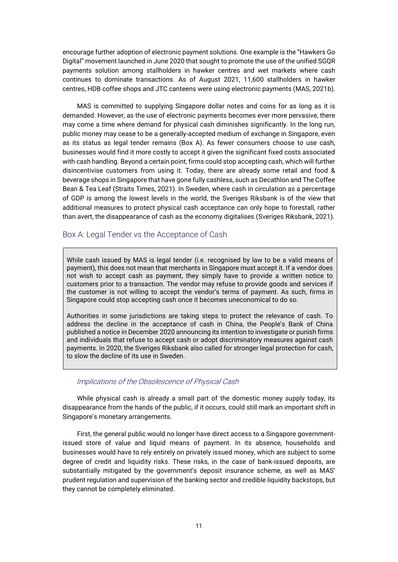encourage further adoption of electronic payment solutions. One example is the "Hawkers Go Digital" movement launched in June 2020 that sought to promote the use of the unified SGQR payments solution among stallholders in hawker centres and wet markets where cash continues to dominate transactions. As of August 2021, 11,600 stallholders in hawker centres, HDB coffee shops and JTC canteens were using electronic payments (MAS, 2021b).

MAS is committed to supplying Singapore dollar notes and coins for as long as it is demanded. However, as the use of electronic payments becomes ever more pervasive, there may come a time where demand for physical cash diminishes significantly. In the long run, public money may cease to be a generally-accepted medium of exchange in Singapore, even as its status as legal tender remains (Box A). As fewer consumers choose to use cash, businesses would find it more costly to accept it given the significant fixed costs associated with cash handling. Beyond a certain point, firms could stop accepting cash, which will further disincentivise customers from using it. Today, there are already some retail and food & beverage shops in Singapore that have gone fully cashless, such as Decathlon and The Coffee Bean & Tea Leaf (Straits Times, 2021). In Sweden, where cash in circulation as a percentage of GDP is among the lowest levels in the world, the Sveriges Riksbank is of the view that additional measures to protect physical cash acceptance can only hope to forestall, rather than avert, the disappearance of cash as the economy digitalises (Sveriges Riksbank, 2021).

#### Box A: Legal Tender vs the Acceptance of Cash

While cash issued by MAS is legal tender (i.e. recognised by law to be a valid means of payment), this does not mean that merchants in Singapore must accept it. If a vendor does not wish to accept cash as payment, they simply have to provide a written notice to customers prior to a transaction. The vendor may refuse to provide goods and services if the customer is not willing to accept the vendor's terms of payment. As such, firms in Singapore could stop accepting cash once it becomes uneconomical to do so.

Authorities in some jurisdictions are taking steps to protect the relevance of cash. To address the decline in the acceptance of cash in China, the People's Bank of China published a notice in December 2020 announcing its intention to investigate or punish firms and individuals that refuse to accept cash or adopt discriminatory measures against cash payments. In 2020, the Sveriges Riksbank also called for stronger legal protection for cash, to slow the decline of its use in Sweden.

#### Implications of the Obsolescence of Physical Cash

While physical cash is already a small part of the domestic money supply today, its disappearance from the hands of the public, if it occurs, could still mark an important shift in Singapore's monetary arrangements.

First, the general public would no longer have direct access to a Singapore governmentissued store of value and liquid means of payment. In its absence, households and businesses would have to rely entirely on privately issued money, which are subject to some degree of credit and liquidity risks. These risks, in the case of bank-issued deposits, are substantially mitigated by the government's deposit insurance scheme, as well as MAS' prudent regulation and supervision of the banking sector and credible liquidity backstops, but they cannot be completely eliminated.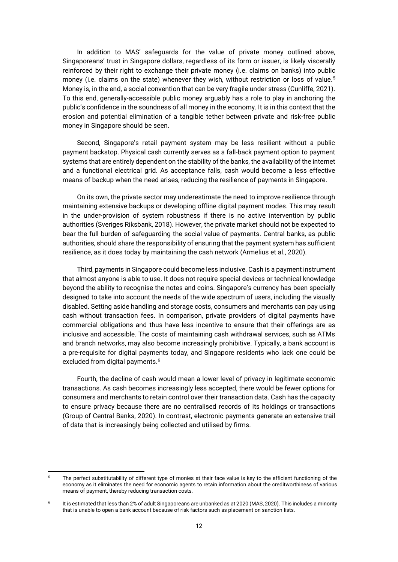In addition to MAS' safeguards for the value of private money outlined above, Singaporeans' trust in Singapore dollars, regardless of its form or issuer, is likely viscerally reinforced by their right to exchange their private money (i.e. claims on banks) into public money (i.e. claims on the state) whenever they wish, without restriction or loss of value.<sup>5</sup> Money is, in the end, a social convention that can be very fragile under stress (Cunliffe, 2021). To this end, generally-accessible public money arguably has a role to play in anchoring the public's confidence in the soundness of all money in the economy. It is in this context that the erosion and potential elimination of a tangible tether between private and risk-free public money in Singapore should be seen.

Second, Singapore's retail payment system may be less resilient without a public payment backstop. Physical cash currently serves as a fall-back payment option to payment systems that are entirely dependent on the stability of the banks, the availability of the internet and a functional electrical grid. As acceptance falls, cash would become a less effective means of backup when the need arises, reducing the resilience of payments in Singapore.

On its own, the private sector may underestimate the need to improve resilience through maintaining extensive backups or developing offline digital payment modes. This may result in the under-provision of system robustness if there is no active intervention by public authorities (Sveriges Riksbank, 2018). However, the private market should not be expected to bear the full burden of safeguarding the social value of payments. Central banks, as public authorities, should share the responsibility of ensuring that the payment system has sufficient resilience, as it does today by maintaining the cash network (Armelius et al., 2020).

Third, payments in Singapore could become less inclusive. Cash is a payment instrument that almost anyone is able to use. It does not require special devices or technical knowledge beyond the ability to recognise the notes and coins. Singapore's currency has been specially designed to take into account the needs of the wide spectrum of users, including the visually disabled. Setting aside handling and storage costs, consumers and merchants can pay using cash without transaction fees. In comparison, private providers of digital payments have commercial obligations and thus have less incentive to ensure that their offerings are as inclusive and accessible. The costs of maintaining cash withdrawal services, such as ATMs and branch networks, may also become increasingly prohibitive. Typically, a bank account is a pre-requisite for digital payments today, and Singapore residents who lack one could be excluded from digital payments.<sup>6</sup>

Fourth, the decline of cash would mean a lower level of privacy in legitimate economic transactions. As cash becomes increasingly less accepted, there would be fewer options for consumers and merchants to retain control over their transaction data. Cash has the capacity to ensure privacy because there are no centralised records of its holdings or transactions (Group of Central Banks, 2020). In contrast, electronic payments generate an extensive trail of data that is increasingly being collected and utilised by firms.

<sup>5</sup> The perfect substitutability of different type of monies at their face value is key to the efficient functioning of the economy as it eliminates the need for economic agents to retain information about the creditworthiness of various means of payment, thereby reducing transaction costs.

<sup>6</sup> It is estimated that less than 2% of adult Singaporeans are unbanked as at 2020 (MAS, 2020). This includes a minority that is unable to open a bank account because of risk factors such as placement on sanction lists.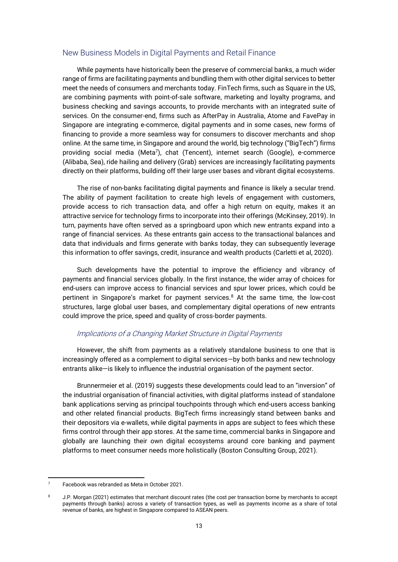#### New Business Models in Digital Payments and Retail Finance

While payments have historically been the preserve of commercial banks, a much wider range of firms are facilitating payments and bundling them with other digital services to better meet the needs of consumers and merchants today. FinTech firms, such as Square in the US, are combining payments with point-of-sale software, marketing and loyalty programs, and business checking and savings accounts, to provide merchants with an integrated suite of services. On the consumer-end, firms such as AfterPay in Australia, Atome and FavePay in Singapore are integrating e-commerce, digital payments and in some cases, new forms of financing to provide a more seamless way for consumers to discover merchants and shop online. At the same time, in Singapore and around the world, big technology ("BigTech") firms providing social media (Meta<sup>7</sup>), chat (Tencent), internet search (Google), e-commerce (Alibaba, Sea), ride hailing and delivery (Grab) services are increasingly facilitating payments directly on their platforms, building off their large user bases and vibrant digital ecosystems.

The rise of non-banks facilitating digital payments and finance is likely a secular trend. The ability of payment facilitation to create high levels of engagement with customers, provide access to rich transaction data, and offer a high return on equity, makes it an attractive service for technology firms to incorporate into their offerings (McKinsey, 2019). In turn, payments have often served as a springboard upon which new entrants expand into a range of financial services. As these entrants gain access to the transactional balances and data that individuals and firms generate with banks today, they can subsequently leverage this information to offer savings, credit, insurance and wealth products (Carletti et al, 2020).

Such developments have the potential to improve the efficiency and vibrancy of payments and financial services globally. In the first instance, the wider array of choices for end-users can improve access to financial services and spur lower prices, which could be pertinent in Singapore's market for payment services.<sup>8</sup> At the same time, the low-cost structures, large global user bases, and complementary digital operations of new entrants could improve the price, speed and quality of cross-border payments.

#### Implications of a Changing Market Structure in Digital Payments

However, the shift from payments as a relatively standalone business to one that is increasingly offered as a complement to digital services—by both banks and new technology entrants alike—is likely to influence the industrial organisation of the payment sector.

Brunnermeier et al. (2019) suggests these developments could lead to an "inversion" of the industrial organisation of financial activities, with digital platforms instead of standalone bank applications serving as principal touchpoints through which end-users access banking and other related financial products. BigTech firms increasingly stand between banks and their depositors via e-wallets, while digital payments in apps are subject to fees which these firms control through their app stores. At the same time, commercial banks in Singapore and globally are launching their own digital ecosystems around core banking and payment platforms to meet consumer needs more holistically (Boston Consulting Group, 2021).

<sup>7</sup> Facebook was rebranded as Meta in October 2021.

<sup>8</sup> J.P. Morgan (2021) estimates that merchant discount rates (the cost per transaction borne by merchants to accept payments through banks) across a variety of transaction types, as well as payments income as a share of total revenue of banks, are highest in Singapore compared to ASEAN peers.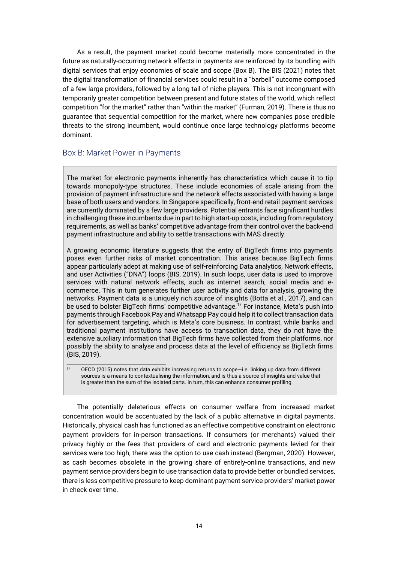As a result, the payment market could become materially more concentrated in the future as naturally-occurring network effects in payments are reinforced by its bundling with digital services that enjoy economies of scale and scope (Box B). The BIS (2021) notes that the digital transformation of financial services could result in a "barbell" outcome composed of a few large providers, followed by a long tail of niche players. This is not incongruent with temporarily greater competition between present and future states of the world, which reflect competition "for the market" rather than "within the market" (Furman, 2019). There is thus no guarantee that sequential competition for the market, where new companies pose credible threats to the strong incumbent, would continue once large technology platforms become dominant.

### Box B: Market Power in Payments

The market for electronic payments inherently has characteristics which cause it to tip towards monopoly-type structures. These include economies of scale arising from the provision of payment infrastructure and the network effects associated with having a large base of both users and vendors. In Singapore specifically, front-end retail payment services are currently dominated by a few large providers. Potential entrants face significant hurdles in challenging these incumbents due in part to high start-up costs, including from regulatory requirements, as well as banks' competitive advantage from their control over the back-end payment infrastructure and ability to settle transactions with MAS directly.

A growing economic literature suggests that the entry of BigTech firms into payments poses even further risks of market concentration. This arises because BigTech firms appear particularly adept at making use of self-reinforcing Data analytics, Network effects, and user Activities ("DNA") loops (BIS, 2019). In such loops, user data is used to improve services with natural network effects, such as internet search, social media and ecommerce. This in turn generates further user activity and data for analysis, growing the networks. Payment data is a uniquely rich source of insights (Botta et al., 2017), and can be used to bolster BigTech firms' competitive advantage.<sup>1/</sup> For instance, Meta's push into payments through Facebook Pay and Whatsapp Pay could help it to collect transaction data for advertisement targeting, which is Meta's core business. In contrast, while banks and traditional payment institutions have access to transaction data, they do not have the extensive auxiliary information that BigTech firms have collected from their platforms, nor possibly the ability to analyse and process data at the level of efficiency as BigTech firms (BIS, 2019).

\_\_\_\_\_\_\_\_\_\_\_\_\_\_\_\_\_\_\_\_\_\_\_\_\_\_\_\_\_\_\_\_\_ 1/ OECD (2015) notes that data exhibits increasing returns to scope—i.e. linking up data from different sources is a means to contextualising the information, and is thus a source of insights and value that is greater than the sum of the isolated parts. In turn, this can enhance consumer profiling.

The potentially deleterious effects on consumer welfare from increased market concentration would be accentuated by the lack of a public alternative in digital payments. Historically, physical cash has functioned as an effective competitive constraint on electronic payment providers for in-person transactions. If consumers (or merchants) valued their privacy highly or the fees that providers of card and electronic payments levied for their services were too high, there was the option to use cash instead (Bergman, 2020). However, as cash becomes obsolete in the growing share of entirely-online transactions, and new payment service providers begin to use transaction data to provide better or bundled services, there is less competitive pressure to keep dominant payment service providers' market power in check over time.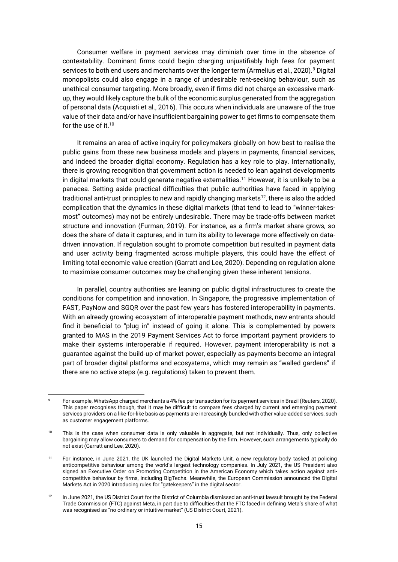Consumer welfare in payment services may diminish over time in the absence of contestability. Dominant firms could begin charging unjustifiably high fees for payment services to both end users and merchants over the longer term (Armelius et al., 2020).<sup>9</sup> Digital monopolists could also engage in a range of undesirable rent-seeking behaviour, such as unethical consumer targeting. More broadly, even if firms did not charge an excessive markup, they would likely capture the bulk of the economic surplus generated from the aggregation of personal data (Acquisti et al., 2016). This occurs when individuals are unaware of the true value of their data and/or have insufficient bargaining power to get firms to compensate them for the use of it.<sup>10</sup>

It remains an area of active inquiry for policymakers globally on how best to realise the public gains from these new business models and players in payments, financial services, and indeed the broader digital economy. Regulation has a key role to play. Internationally, there is growing recognition that government action is needed to lean against developments in digital markets that could generate negative externalities.<sup>11</sup> However, it is unlikely to be a panacea. Setting aside practical difficulties that public authorities have faced in applying traditional anti-trust principles to new and rapidly changing markets<sup>12</sup>, there is also the added complication that the dynamics in these digital markets (that tend to lead to "winner-takesmost" outcomes) may not be entirely undesirable. There may be trade-offs between market structure and innovation (Furman, 2019). For instance, as a firm's market share grows, so does the share of data it captures, and in turn its ability to leverage more effectively on datadriven innovation. If regulation sought to promote competition but resulted in payment data and user activity being fragmented across multiple players, this could have the effect of limiting total economic value creation (Garratt and Lee, 2020). Depending on regulation alone to maximise consumer outcomes may be challenging given these inherent tensions.

In parallel, country authorities are leaning on public digital infrastructures to create the conditions for competition and innovation. In Singapore, the progressive implementation of FAST, PayNow and SGQR over the past few years has fostered interoperability in payments. With an already growing ecosystem of interoperable payment methods, new entrants should find it beneficial to "plug in" instead of going it alone. This is complemented by powers granted to MAS in the 2019 Payment Services Act to force important payment providers to make their systems interoperable if required. However, payment interoperability is not a guarantee against the build-up of market power, especially as payments become an integral part of broader digital platforms and ecosystems, which may remain as "walled gardens" if there are no active steps (e.g. regulations) taken to prevent them.

For example, WhatsApp charged merchants a 4% fee per transaction for its payment services in Brazil (Reuters, 2020). This paper recognises though, that it may be difficult to compare fees charged by current and emerging payment services providers on a like-for-like basis as payments are increasingly bundled with other value-added services, such as customer engagement platforms.

<sup>&</sup>lt;sup>10</sup> This is the case when consumer data is only valuable in aggregate, but not individually. Thus, only collective bargaining may allow consumers to demand for compensation by the firm. However, such arrangements typically do not exist (Garratt and Lee, 2020).

<sup>11</sup> For instance, in June 2021, the UK launched the Digital Markets Unit, a new regulatory body tasked at policing anticompetitive behaviour among the world's largest technology companies. In July 2021, the US President also signed an Executive Order on Promoting Competition in the American Economy which takes action against anticompetitive behaviour by firms, including BigTechs. Meanwhile, the European Commission announced the Digital Markets Act in 2020 introducing rules for "gatekeepers" in the digital sector.

<sup>&</sup>lt;sup>12</sup> In June 2021, the US District Court for the District of Columbia dismissed an anti-trust lawsuit brought by the Federal Trade Commission (FTC) against Meta, in part due to difficulties that the FTC faced in defining Meta's share of what was recognised as "no ordinary or intuitive market" (US District Court, 2021).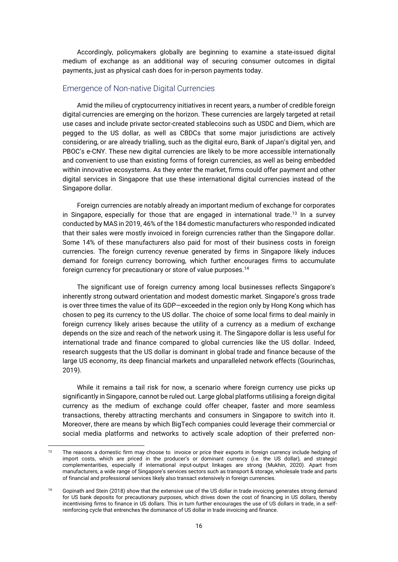Accordingly, policymakers globally are beginning to examine a state-issued digital medium of exchange as an additional way of securing consumer outcomes in digital payments, just as physical cash does for in-person payments today.

#### Emergence of Non-native Digital Currencies

Amid the milieu of cryptocurrency initiatives in recent years, a number of credible foreign digital currencies are emerging on the horizon. These currencies are largely targeted at retail use cases and include private sector-created stablecoins such as USDC and Diem, which are pegged to the US dollar, as well as CBDCs that some major jurisdictions are actively considering, or are already trialling, such as the digital euro, Bank of Japan's digital yen, and PBOC's e-CNY. These new digital currencies are likely to be more accessible internationally and convenient to use than existing forms of foreign currencies, as well as being embedded within innovative ecosystems. As they enter the market, firms could offer payment and other digital services in Singapore that use these international digital currencies instead of the Singapore dollar.

Foreign currencies are notably already an important medium of exchange for corporates in Singapore, especially for those that are engaged in international trade.<sup>13</sup> In a survey conducted by MAS in 2019, 46% of the 184 domestic manufacturers who responded indicated that their sales were mostly invoiced in foreign currencies rather than the Singapore dollar. Some 14% of these manufacturers also paid for most of their business costs in foreign currencies. The foreign currency revenue generated by firms in Singapore likely induces demand for foreign currency borrowing, which further encourages firms to accumulate foreign currency for precautionary or store of value purposes.<sup>14</sup>

The significant use of foreign currency among local businesses reflects Singapore's inherently strong outward orientation and modest domestic market. Singapore's gross trade is over three times the value of its GDP—exceeded in the region only by Hong Kong which has chosen to peg its currency to the US dollar. The choice of some local firms to deal mainly in foreign currency likely arises because the utility of a currency as a medium of exchange depends on the size and reach of the network using it. The Singapore dollar is less useful for international trade and finance compared to global currencies like the US dollar. Indeed, research suggests that the US dollar is dominant in global trade and finance because of the large US economy, its deep financial markets and unparalleled network effects (Gourinchas, 2019).

While it remains a tail risk for now, a scenario where foreign currency use picks up significantly in Singapore, cannot be ruled out. Large global platforms utilising a foreign digital currency as the medium of exchange could offer cheaper, faster and more seamless transactions, thereby attracting merchants and consumers in Singapore to switch into it. Moreover, there are means by which BigTech companies could leverage their commercial or social media platforms and networks to actively scale adoption of their preferred non-

<sup>&</sup>lt;sup>13</sup> The reasons a domestic firm may choose to invoice or price their exports in foreign currency include hedging of import costs, which are priced in the producer's or dominant currency (i.e. the US dollar), and strategic complementarities, especially if international input-output linkages are strong (Mukhin, 2020). Apart from manufacturers, a wide range of Singapore's services sectors such as transport & storage, wholesale trade and parts of financial and professional services likely also transact extensively in foreign currencies.

<sup>&</sup>lt;sup>14</sup> Gopinath and Stein (2018) show that the extensive use of the US dollar in trade invoicing generates strong demand for US bank deposits for precautionary purposes, which drives down the cost of financing in US dollars, thereby incentivising firms to finance in US dollars. This in turn further encourages the use of US dollars in trade, in a selfreinforcing cycle that entrenches the dominance of US dollar in trade invoicing and finance.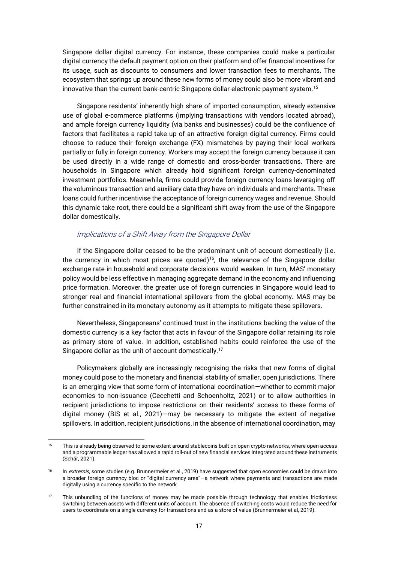Singapore dollar digital currency. For instance, these companies could make a particular digital currency the default payment option on their platform and offer financial incentives for its usage, such as discounts to consumers and lower transaction fees to merchants. The ecosystem that springs up around these new forms of money could also be more vibrant and innovative than the current bank-centric Singapore dollar electronic payment system.<sup>15</sup>

Singapore residents' inherently high share of imported consumption, already extensive use of global e-commerce platforms (implying transactions with vendors located abroad), and ample foreign currency liquidity (via banks and businesses) could be the confluence of factors that facilitates a rapid take up of an attractive foreign digital currency. Firms could choose to reduce their foreign exchange (FX) mismatches by paying their local workers partially or fully in foreign currency. Workers may accept the foreign currency because it can be used directly in a wide range of domestic and cross-border transactions. There are households in Singapore which already hold significant foreign currency-denominated investment portfolios. Meanwhile, firms could provide foreign currency loans leveraging off the voluminous transaction and auxiliary data they have on individuals and merchants. These loans could further incentivise the acceptance of foreign currency wages and revenue. Should this dynamic take root, there could be a significant shift away from the use of the Singapore dollar domestically.

#### Implications of a Shift Away from the Singapore Dollar

If the Singapore dollar ceased to be the predominant unit of account domestically (i.e. the currency in which most prices are quoted)<sup>16</sup>, the relevance of the Singapore dollar exchange rate in household and corporate decisions would weaken. In turn, MAS' monetary policy would be less effective in managing aggregate demand in the economy and influencing price formation. Moreover, the greater use of foreign currencies in Singapore would lead to stronger real and financial international spillovers from the global economy. MAS may be further constrained in its monetary autonomy as it attempts to mitigate these spillovers.

Nevertheless, Singaporeans' continued trust in the institutions backing the value of the domestic currency is a key factor that acts in favour of the Singapore dollar retaining its role as primary store of value. In addition, established habits could reinforce the use of the Singapore dollar as the unit of account domestically.<sup>17</sup>

Policymakers globally are increasingly recognising the risks that new forms of digital money could pose to the monetary and financial stability of smaller, open jurisdictions. There is an emerging view that some form of international coordination—whether to commit major economies to non-issuance (Cecchetti and Schoenholtz, 2021) or to allow authorities in recipient jurisdictions to impose restrictions on their residents' access to these forms of digital money (BIS et al., 2021)—may be necessary to mitigate the extent of negative spillovers. In addition, recipient jurisdictions, in the absence of international coordination, may

<sup>&</sup>lt;sup>15</sup> This is already being observed to some extent around stablecoins built on open crypto networks, where open access and a programmable ledger has allowed a rapid roll-out of new financial services integrated around these instruments (Schär, 2021).

<sup>&</sup>lt;sup>16</sup> In extremis, some studies (e.g. Brunnermeier et al., 2019) have suggested that open economies could be drawn into a broader foreign currency bloc or "digital currency area"—a network where payments and transactions are made digitally using a currency specific to the network.

<sup>&</sup>lt;sup>17</sup> This unbundling of the functions of money may be made possible through technology that enables frictionless switching between assets with different units of account. The absence of switching costs would reduce the need for users to coordinate on a single currency for transactions and as a store of value (Brunnermeier et al, 2019).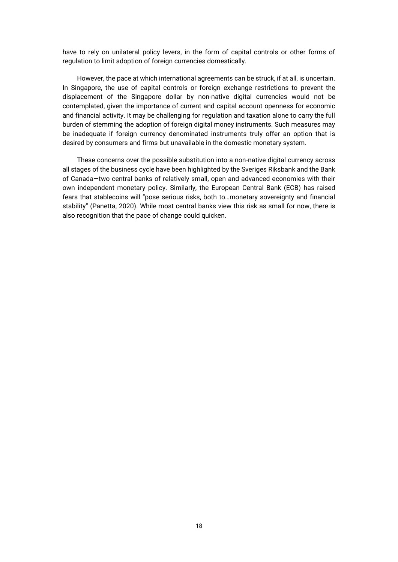have to rely on unilateral policy levers, in the form of capital controls or other forms of regulation to limit adoption of foreign currencies domestically.

However, the pace at which international agreements can be struck, if at all, is uncertain. In Singapore, the use of capital controls or foreign exchange restrictions to prevent the displacement of the Singapore dollar by non-native digital currencies would not be contemplated, given the importance of current and capital account openness for economic and financial activity. It may be challenging for regulation and taxation alone to carry the full burden of stemming the adoption of foreign digital money instruments. Such measures may be inadequate if foreign currency denominated instruments truly offer an option that is desired by consumers and firms but unavailable in the domestic monetary system.

These concerns over the possible substitution into a non-native digital currency across all stages of the business cycle have been highlighted by the Sveriges Riksbank and the Bank of Canada—two central banks of relatively small, open and advanced economies with their own independent monetary policy. Similarly, the European Central Bank (ECB) has raised fears that stablecoins will "pose serious risks, both to…monetary sovereignty and financial stability" (Panetta, 2020). While most central banks view this risk as small for now, there is also recognition that the pace of change could quicken.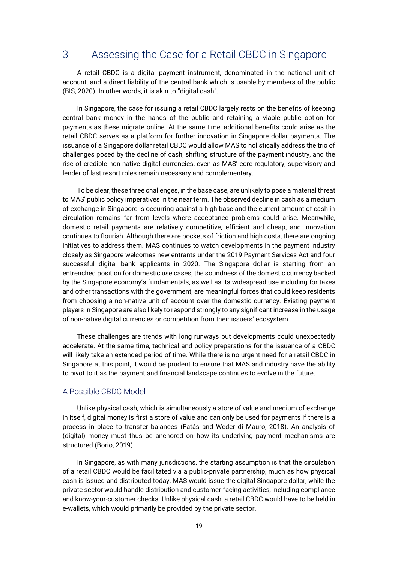## 3 Assessing the Case for a Retail CBDC in Singapore

A retail CBDC is a digital payment instrument, denominated in the national unit of account, and a direct liability of the central bank which is usable by members of the public (BIS, 2020). In other words, it is akin to "digital cash".

In Singapore, the case for issuing a retail CBDC largely rests on the benefits of keeping central bank money in the hands of the public and retaining a viable public option for payments as these migrate online. At the same time, additional benefits could arise as the retail CBDC serves as a platform for further innovation in Singapore dollar payments. The issuance of a Singapore dollar retail CBDC would allow MAS to holistically address the trio of challenges posed by the decline of cash, shifting structure of the payment industry, and the rise of credible non-native digital currencies, even as MAS' core regulatory, supervisory and lender of last resort roles remain necessary and complementary.

To be clear, these three challenges, in the base case, are unlikely to pose a material threat to MAS' public policy imperatives in the near term. The observed decline in cash as a medium of exchange in Singapore is occurring against a high base and the current amount of cash in circulation remains far from levels where acceptance problems could arise. Meanwhile, domestic retail payments are relatively competitive, efficient and cheap, and innovation continues to flourish. Although there are pockets of friction and high costs, there are ongoing initiatives to address them. MAS continues to watch developments in the payment industry closely as Singapore welcomes new entrants under the 2019 Payment Services Act and four successful digital bank applicants in 2020. The Singapore dollar is starting from an entrenched position for domestic use cases; the soundness of the domestic currency backed by the Singapore economy's fundamentals, as well as its widespread use including for taxes and other transactions with the government, are meaningful forces that could keep residents from choosing a non-native unit of account over the domestic currency. Existing payment players in Singapore are also likely to respond strongly to any significant increase in the usage of non-native digital currencies or competition from their issuers' ecosystem.

These challenges are trends with long runways but developments could unexpectedly accelerate. At the same time, technical and policy preparations for the issuance of a CBDC will likely take an extended period of time. While there is no urgent need for a retail CBDC in Singapore at this point, it would be prudent to ensure that MAS and industry have the ability to pivot to it as the payment and financial landscape continues to evolve in the future.

#### A Possible CBDC Model

Unlike physical cash, which is simultaneously a store of value and medium of exchange in itself, digital money is first a store of value and can only be used for payments if there is a process in place to transfer balances (Fatás and Weder di Mauro, 2018). An analysis of (digital) money must thus be anchored on how its underlying payment mechanisms are structured (Borio, 2019).

In Singapore, as with many jurisdictions, the starting assumption is that the circulation of a retail CBDC would be facilitated via a public-private partnership, much as how physical cash is issued and distributed today. MAS would issue the digital Singapore dollar, while the private sector would handle distribution and customer-facing activities, including compliance and know-your-customer checks. Unlike physical cash, a retail CBDC would have to be held in e-wallets, which would primarily be provided by the private sector.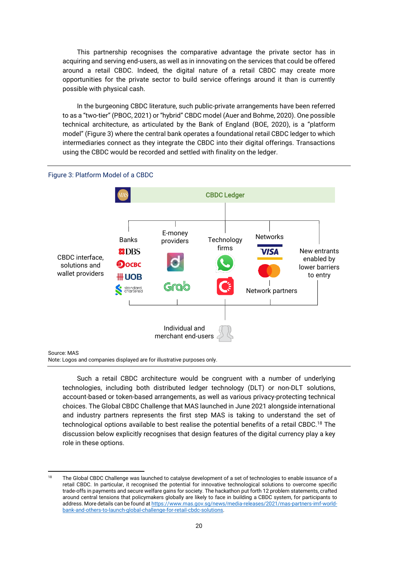This partnership recognises the comparative advantage the private sector has in acquiring and serving end-users, as well as in innovating on the services that could be offered around a retail CBDC. Indeed, the digital nature of a retail CBDC may create more opportunities for the private sector to build service offerings around it than is currently possible with physical cash.

In the burgeoning CBDC literature, such public-private arrangements have been referred to as a "two-tier" (PBOC, 2021) or "hybrid" CBDC model (Auer and Bohme, 2020). One possible technical architecture, as articulated by the Bank of England (BOE, 2020), is a "platform model" (Figure 3) where the central bank operates a foundational retail CBDC ledger to which intermediaries connect as they integrate the CBDC into their digital offerings. Transactions using the CBDC would be recorded and settled with finality on the ledger.



#### Figure 3: Platform Model of a CBDC

#### Source: MAS

Note: Logos and companies displayed are for illustrative purposes only.

Such a retail CBDC architecture would be congruent with a number of underlying technologies, including both distributed ledger technology (DLT) or non-DLT solutions, account-based or token-based arrangements, as well as various privacy-protecting technical choices. The Global CBDC Challenge that MAS launched in June 2021 alongside international and industry partners represents the first step MAS is taking to understand the set of technological options available to best realise the potential benefits of a retail CBDC.<sup>18</sup> The discussion below explicitly recognises that design features of the digital currency play a key role in these options.

<sup>&</sup>lt;sup>18</sup> The Global CBDC Challenge was launched to catalyse development of a set of technologies to enable issuance of a retail CBDC. In particular, it recognised the potential for innovative technological solutions to overcome specific trade-offs in payments and secure welfare gains for society. The hackathon put forth 12 problem statements, crafted around central tensions that policymakers globally are likely to face in building a CBDC system, for participants to address. More details can be found a[t https://www.mas.gov.sg/news/media-releases/2021/mas-partners-imf-world](https://www.mas.gov.sg/news/media-releases/2021/mas-partners-imf-world-bank-and-others-to-launch-global-challenge-for-retail-cbdc-solutions)[bank-and-others-to-launch-global-challenge-for-retail-cbdc-solutions.](https://www.mas.gov.sg/news/media-releases/2021/mas-partners-imf-world-bank-and-others-to-launch-global-challenge-for-retail-cbdc-solutions)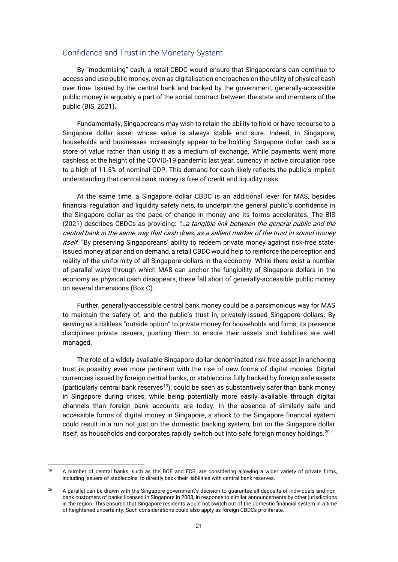#### Confidence and Trust in the Monetary System

By "modernising" cash, a retail CBDC would ensure that Singaporeans can continue to access and use public money, even as digitalisation encroaches on the utility of physical cash over time. Issued by the central bank and backed by the government, generally-accessible public money is arguably a part of the social contract between the state and members of the public (BIS, 2021).

Fundamentally, Singaporeans may wish to retain the ability to hold or have recourse to a Singapore dollar asset whose value is always stable and sure. Indeed, in Singapore, households and businesses increasingly appear to be holding Singapore dollar cash as a store of value rather than using it as a medium of exchange. While payments went more cashless at the height of the COVID-19 pandemic last year, currency in active circulation rose to a high of 11.5% of nominal GDP. This demand for cash likely reflects the public's implicit understanding that central bank money is free of credit and liquidity risks.

At the same time, a Singapore dollar CBDC is an additional lever for MAS, besides financial regulation and liquidity safety nets, to underpin the general public's confidence in the Singapore dollar as the pace of change in money and its forms accelerates. The BIS (2021) describes CBDCs as providing: "...a tangible link between the general public and the central bank in the same way that cash does, as a salient marker of the trust in sound money itself." By preserving Singaporeans' ability to redeem private money against risk-free stateissued money at par and on demand, a retail CBDC would help to reinforce the perception and reality of the uniformity of all Singapore dollars in the economy. While there exist a number of parallel ways through which MAS can anchor the fungibility of Singapore dollars in the economy as physical cash disappears, these fall short of generally-accessible public money on several dimensions (Box C).

Further, generally-accessible central bank money could be a parsimonious way for MAS to maintain the safety of, and the public's trust in, privately-issued Singapore dollars. By serving as a riskless "outside option" to private money for households and firms, its presence disciplines private issuers, pushing them to ensure their assets and liabilities are well managed.

The role of a widely available Singapore dollar-denominated risk-free asset in anchoring trust is possibly even more pertinent with the rise of new forms of digital monies. Digital currencies issued by foreign central banks, or stablecoins fully backed by foreign safe assets (particularly central bank reserves<sup>19</sup>), could be seen as substantively safer than bank money in Singapore during crises, while being potentially more easily available through digital channels than foreign bank accounts are today. In the absence of similarly safe and accessible forms of digital money in Singapore, a shock to the Singapore financial system could result in a run not just on the domestic banking system, but on the Singapore dollar itself, as households and corporates rapidly switch out into safe foreign money holdings.<sup>20</sup>

<sup>&</sup>lt;sup>19</sup> A number of central banks, such as the BOE and ECB, are considering allowing a wider variety of private firms, including issuers of stablecoins, to directly back their liabilities with central bank reserves.

<sup>&</sup>lt;sup>20</sup> A parallel can be drawn with the Singapore government's decision to quarantee all deposits of individuals and nonbank customers of banks licensed in Singapore in 2008, in response to similar announcements by other jurisdictions in the region. This ensured that Singapore residents would not switch out of the domestic financial system in a time of heightened uncertainty. Such considerations could also apply as foreign CBDCs proliferate.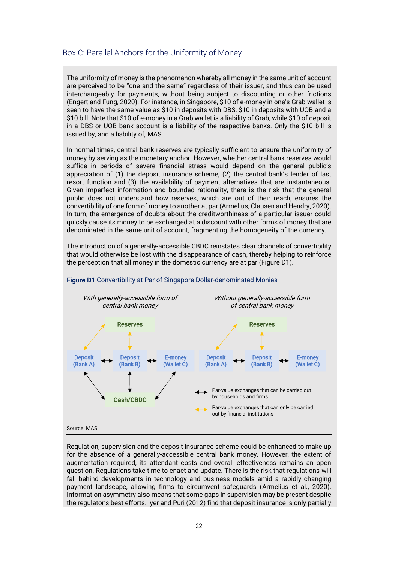### Box C: Parallel Anchors for the Uniformity of Money

The uniformity of money is the phenomenon whereby all money in the same unit of account are perceived to be "one and the same" regardless of their issuer, and thus can be used interchangeably for payments, without being subject to discounting or other frictions (Engert and Fung, 2020). For instance, in Singapore, \$10 of e-money in one's Grab wallet is seen to have the same value as \$10 in deposits with DBS, \$10 in deposits with UOB and a \$10 bill. Note that \$10 of e-money in a Grab wallet is a liability of Grab, while \$10 of deposit in a DBS or UOB bank account is a liability of the respective banks. Only the \$10 bill is issued by, and a liability of, MAS.

In normal times, central bank reserves are typically sufficient to ensure the uniformity of money by serving as the monetary anchor. However, whether central bank reserves would suffice in periods of severe financial stress would depend on the general public's appreciation of (1) the deposit insurance scheme, (2) the central bank's lender of last resort function and (3) the availability of payment alternatives that are instantaneous. Given imperfect information and bounded rationality, there is the risk that the general public does not understand how reserves, which are out of their reach, ensures the convertibility of one form of money to another at par (Armelius, Clausen and Hendry, 2020). In turn, the emergence of doubts about the creditworthiness of a particular issuer could quickly cause its money to be exchanged at a discount with other forms of money that are denominated in the same unit of account, fragmenting the homogeneity of the currency.

The introduction of a generally-accessible CBDC reinstates clear channels of convertibility that would otherwise be lost with the disappearance of cash, thereby helping to reinforce the perception that all money in the domestic currency are at par (Figure D1).



Regulation, supervision and the deposit insurance scheme could be enhanced to make up for the absence of a generally-accessible central bank money. However, the extent of augmentation required, its attendant costs and overall effectiveness remains an open question. Regulations take time to enact and update. There is the risk that regulations will fall behind developments in technology and business models amid a rapidly changing payment landscape, allowing firms to circumvent safeguards (Armelius et al., 2020). Information asymmetry also means that some gaps in supervision may be present despite the regulator's best efforts. Iyer and Puri (2012) find that deposit insurance is only partially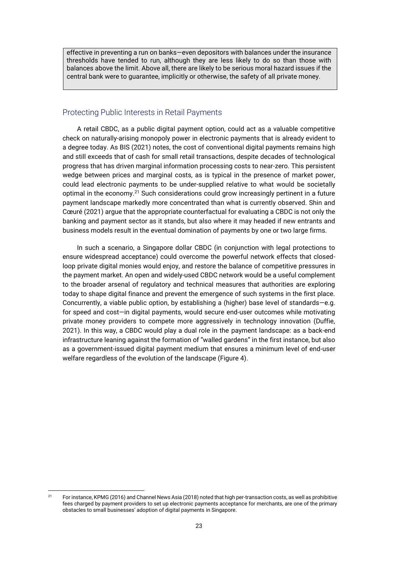effective in preventing a run on banks—even depositors with balances under the insurance thresholds have tended to run, although they are less likely to do so than those with balances above the limit. Above all, there are likely to be serious moral hazard issues if the central bank were to guarantee, implicitly or otherwise, the safety of all private money.

### Protecting Public Interests in Retail Payments

A retail CBDC, as a public digital payment option, could act as a valuable competitive check on naturally-arising monopoly power in electronic payments that is already evident to a degree today. As BIS (2021) notes, the cost of conventional digital payments remains high and still exceeds that of cash for small retail transactions, despite decades of technological progress that has driven marginal information processing costs to near-zero. This persistent wedge between prices and marginal costs, as is typical in the presence of market power, could lead electronic payments to be under-supplied relative to what would be societally optimal in the economy.<sup>21</sup> Such considerations could grow increasingly pertinent in a future payment landscape markedly more concentrated than what is currently observed. Shin and Cœuré (2021) argue that the appropriate counterfactual for evaluating a CBDC is not only the banking and payment sector as it stands, but also where it may headed if new entrants and business models result in the eventual domination of payments by one or two large firms.

In such a scenario, a Singapore dollar CBDC (in conjunction with legal protections to ensure widespread acceptance) could overcome the powerful network effects that closedloop private digital monies would enjoy, and restore the balance of competitive pressures in the payment market. An open and widely-used CBDC network would be a useful complement to the broader arsenal of regulatory and technical measures that authorities are exploring today to shape digital finance and prevent the emergence of such systems in the first place. Concurrently, a viable public option, by establishing a (higher) base level of standards—e.g. for speed and cost—in digital payments, would secure end-user outcomes while motivating private money providers to compete more aggressively in technology innovation (Duffie, 2021). In this way, a CBDC would play a dual role in the payment landscape: as a back-end infrastructure leaning against the formation of "walled gardens" in the first instance, but also as a government-issued digital payment medium that ensures a minimum level of end-user welfare regardless of the evolution of the landscape (Figure 4).

 $21$  For instance, KPMG (2016) and Channel News Asia (2018) noted that high per-transaction costs, as well as prohibitive fees charged by payment providers to set up electronic payments acceptance for merchants, are one of the primary obstacles to small businesses' adoption of digital payments in Singapore.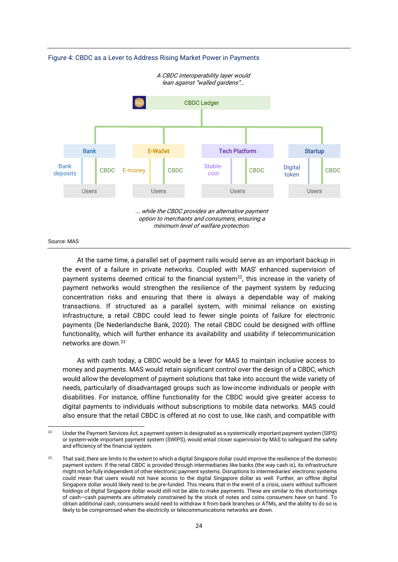

Figure 4: CBDC as a Lever to Address Rising Market Power in Payments

#### Source: MAS

At the same time, a parallel set of payment rails would serve as an important backup in the event of a failure in private networks. Coupled with MAS' enhanced supervision of payment systems deemed critical to the financial system<sup>22</sup>, this increase in the variety of payment networks would strengthen the resilience of the payment system by reducing concentration risks and ensuring that there is always a dependable way of making transactions. If structured as a parallel system, with minimal reliance on existing infrastructure, a retail CBDC could lead to fewer single points of failure for electronic payments (De Nederlandsche Bank, 2020). The retail CBDC could be designed with offline functionality, which will further enhance its availability and usability if telecommunication networks are down.<sup>23</sup>

As with cash today, a CBDC would be a lever for MAS to maintain inclusive access to money and payments. MAS would retain significant control over the design of a CBDC, which would allow the development of payment solutions that take into account the wide variety of needs, particularly of disadvantaged groups such as low-income individuals or people with disabilities. For instance, offline functionality for the CBDC would give greater access to digital payments to individuals without subscriptions to mobile data networks. MAS could also ensure that the retail CBDC is offered at no cost to use, like cash, and compatible with

<sup>&</sup>lt;sup>22</sup> Under the Payment Services Act, a payment system is designated as a systemically important payment system (SIPS) or system-wide important payment system (SWIPS), would entail closer supervision by MAS to safeguard the safety and efficiency of the financial system.

<sup>&</sup>lt;sup>23</sup> That said, there are limits to the extent to which a digital Singapore dollar could improve the resilience of the domestic payment system. If the retail CBDC is provided through intermediaries like banks (the way cash is), its infrastructure might not be fully independent of other electronic payment systems. Disruptions to intermediaries' electronic systems could mean that users would not have access to the digital Singapore dollar as well. Further, an offline digital Singapore dollar would likely need to be pre-funded. This means that in the event of a crisis, users without sufficient holdings of digital Singapore dollar would still not be able to make payments. These are similar to the shortcomings of cash—cash payments are ultimately constrained by the stock of notes and coins consumers have on hand. To obtain additional cash, consumers would need to withdraw it from bank branches or ATMs, and the ability to do so is likely to be compromised when the electricity or telecommunications networks are down.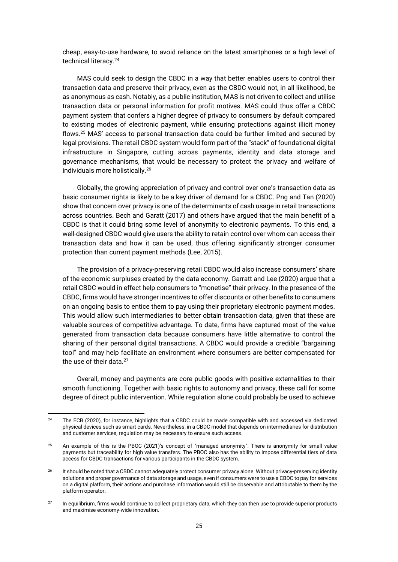cheap, easy-to-use hardware, to avoid reliance on the latest smartphones or a high level of technical literacy.<sup>24</sup>

MAS could seek to design the CBDC in a way that better enables users to control their transaction data and preserve their privacy, even as the CBDC would not, in all likelihood, be as anonymous as cash. Notably, as a public institution, MAS is not driven to collect and utilise transaction data or personal information for profit motives. MAS could thus offer a CBDC payment system that confers a higher degree of privacy to consumers by default compared to existing modes of electronic payment, while ensuring protections against illicit money flows.<sup>25</sup> MAS' access to personal transaction data could be further limited and secured by legal provisions. The retail CBDC system would form part of the "stack" of foundational digital infrastructure in Singapore, cutting across payments, identity and data storage and governance mechanisms, that would be necessary to protect the privacy and welfare of individuals more holistically. 26

Globally, the growing appreciation of privacy and control over one's transaction data as basic consumer rights is likely to be a key driver of demand for a CBDC. Png and Tan (2020) show that concern over privacy is one of the determinants of cash usage in retail transactions across countries. Bech and Garatt (2017) and others have argued that the main benefit of a CBDC is that it could bring some level of anonymity to electronic payments. To this end, a well-designed CBDC would give users the ability to retain control over whom can access their transaction data and how it can be used, thus offering significantly stronger consumer protection than current payment methods (Lee, 2015).

The provision of a privacy-preserving retail CBDC would also increase consumers' share of the economic surpluses created by the data economy. Garratt and Lee (2020) argue that a retail CBDC would in effect help consumers to "monetise" their privacy. In the presence of the CBDC, firms would have stronger incentives to offer discounts or other benefits to consumers on an ongoing basis to entice them to pay using their proprietary electronic payment modes. This would allow such intermediaries to better obtain transaction data, given that these are valuable sources of competitive advantage. To date, firms have captured most of the value generated from transaction data because consumers have little alternative to control the sharing of their personal digital transactions. A CBDC would provide a credible "bargaining tool" and may help facilitate an environment where consumers are better compensated for the use of their data.<sup>27</sup>

Overall, money and payments are core public goods with positive externalities to their smooth functioning. Together with basic rights to autonomy and privacy, these call for some degree of direct public intervention. While regulation alone could probably be used to achieve

<sup>&</sup>lt;sup>24</sup> The ECB (2020), for instance, highlights that a CBDC could be made compatible with and accessed via dedicated physical devices such as smart cards. Nevertheless, in a CBDC model that depends on intermediaries for distribution and customer services, regulation may be necessary to ensure such access.

<sup>&</sup>lt;sup>25</sup> An example of this is the PBOC (2021)'s concept of "managed anonymity". There is anonymity for small value payments but traceability for high value transfers. The PBOC also has the ability to impose differential tiers of data access for CBDC transactions for various participants in the CBDC system.

<sup>&</sup>lt;sup>26</sup> It should be noted that a CBDC cannot adequately protect consumer privacy alone. Without privacy-preserving identity solutions and proper governance of data storage and usage, even if consumers were to use a CBDC to pay for services on a digital platform, their actions and purchase information would still be observable and attributable to them by the platform operator.

<sup>&</sup>lt;sup>27</sup> In equilibrium, firms would continue to collect proprietary data, which they can then use to provide superior products and maximise economy-wide innovation.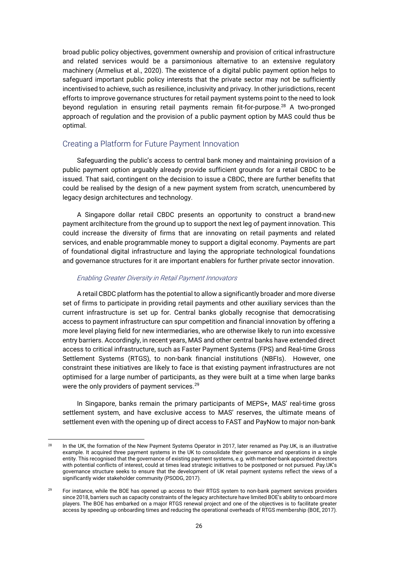broad public policy objectives, government ownership and provision of critical infrastructure and related services would be a parsimonious alternative to an extensive regulatory machinery (Armelius et al., 2020). The existence of a digital public payment option helps to safeguard important public policy interests that the private sector may not be sufficiently incentivised to achieve, such as resilience, inclusivity and privacy. In other jurisdictions, recent efforts to improve governance structures for retail payment systems point to the need to look beyond regulation in ensuring retail payments remain fit-for-purpose.<sup>28</sup> A two-pronged approach of regulation and the provision of a public payment option by MAS could thus be optimal.

### Creating a Platform for Future Payment Innovation

Safeguarding the public's access to central bank money and maintaining provision of a public payment option arguably already provide sufficient grounds for a retail CBDC to be issued. That said, contingent on the decision to issue a CBDC, there are further benefits that could be realised by the design of a new payment system from scratch, unencumbered by legacy design architectures and technology.

A Singapore dollar retail CBDC presents an opportunity to construct a brand-new payment arclhitecture from the ground up to support the next leg of payment innovation. This could increase the diversity of firms that are innovating on retail payments and related services, and enable programmable money to support a digital economy. Payments are part of foundational digital infrastructure and laying the appropriate technological foundations and governance structures for it are important enablers for further private sector innovation.

#### Enabling Greater Diversity in Retail Payment Innovators

A retail CBDC platform has the potential to allow a significantly broader and more diverse set of firms to participate in providing retail payments and other auxiliary services than the current infrastructure is set up for. Central banks globally recognise that democratising access to payment infrastructure can spur competition and financial innovation by offering a more level playing field for new intermediaries, who are otherwise likely to run into excessive entry barriers. Accordingly, in recent years, MAS and other central banks have extended direct access to critical infrastructure, such as Faster Payment Systems (FPS) and Real-time Gross Settlement Systems (RTGS), to non-bank financial institutions (NBFIs). However, one constraint these initiatives are likely to face is that existing payment infrastructures are not optimised for a large number of participants, as they were built at a time when large banks were the only providers of payment services.<sup>29</sup>

In Singapore, banks remain the primary participants of MEPS+, MAS' real-time gross settlement system, and have exclusive access to MAS' reserves, the ultimate means of settlement even with the opening up of direct access to FAST and PayNow to major non-bank

<sup>&</sup>lt;sup>28</sup> In the UK, the formation of the New Payment Systems Operator in 2017, later renamed as Pay.UK, is an illustrative example. It acquired three payment systems in the UK to consolidate their governance and operations in a single entity. This recognised that the governance of existing payment systems, e.g. with member-bank appointed directors with potential conflicts of interest, could at times lead strategic initiatives to be postponed or not pursued. Pay.UK's governance structure seeks to ensure that the development of UK retail payment systems reflect the views of a significantly wider stakeholder community (PSODG, 2017).

<sup>&</sup>lt;sup>29</sup> For instance, while the BOE has opened up access to their RTGS system to non-bank payment services providers since 2018, barriers such as capacity constraints of the legacy architecture have limited BOE's ability to onboard more players. The BOE has embarked on a major RTGS renewal project and one of the objectives is to facilitate greater access by speeding up onboarding times and reducing the operational overheads of RTGS membership (BOE, 2017).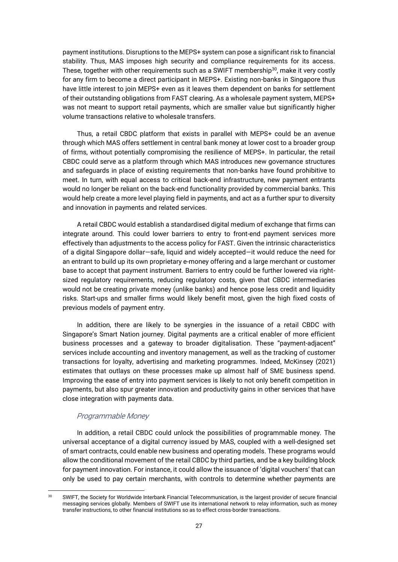payment institutions. Disruptions to the MEPS+ system can pose a significant risk to financial stability. Thus, MAS imposes high security and compliance requirements for its access. These, together with other requirements such as a SWIFT membership $30$ , make it very costly for any firm to become a direct participant in MEPS+. Existing non-banks in Singapore thus have little interest to join MEPS+ even as it leaves them dependent on banks for settlement of their outstanding obligations from FAST clearing. As a wholesale payment system, MEPS+ was not meant to support retail payments, which are smaller value but significantly higher volume transactions relative to wholesale transfers.

Thus, a retail CBDC platform that exists in parallel with MEPS+ could be an avenue through which MAS offers settlement in central bank money at lower cost to a broader group of firms, without potentially compromising the resilience of MEPS+. In particular, the retail CBDC could serve as a platform through which MAS introduces new governance structures and safeguards in place of existing requirements that non-banks have found prohibitive to meet. In turn, with equal access to critical back-end infrastructure, new payment entrants would no longer be reliant on the back-end functionality provided by commercial banks. This would help create a more level playing field in payments, and act as a further spur to diversity and innovation in payments and related services.

A retail CBDC would establish a standardised digital medium of exchange that firms can integrate around. This could lower barriers to entry to front-end payment services more effectively than adjustments to the access policy for FAST. Given the intrinsic characteristics of a digital Singapore dollar—safe, liquid and widely accepted—it would reduce the need for an entrant to build up its own proprietary e-money offering and a large merchant or customer base to accept that payment instrument. Barriers to entry could be further lowered via rightsized regulatory requirements, reducing regulatory costs, given that CBDC intermediaries would not be creating private money (unlike banks) and hence pose less credit and liquidity risks. Start-ups and smaller firms would likely benefit most, given the high fixed costs of previous models of payment entry.

In addition, there are likely to be synergies in the issuance of a retail CBDC with Singapore's Smart Nation journey. Digital payments are a critical enabler of more efficient business processes and a gateway to broader digitalisation. These "payment-adjacent" services include accounting and inventory management, as well as the tracking of customer transactions for loyalty, advertising and marketing programmes. Indeed, McKinsey (2021) estimates that outlays on these processes make up almost half of SME business spend. Improving the ease of entry into payment services is likely to not only benefit competition in payments, but also spur greater innovation and productivity gains in other services that have close integration with payments data.

### Programmable Money

In addition, a retail CBDC could unlock the possibilities of programmable money. The universal acceptance of a digital currency issued by MAS, coupled with a well-designed set of smart contracts, could enable new business and operating models. These programs would allow the conditional movement of the retail CBDC by third parties, and be a key building block for payment innovation. For instance, it could allow the issuance of 'digital vouchers' that can only be used to pay certain merchants, with controls to determine whether payments are

<sup>&</sup>lt;sup>30</sup> SWIFT, the Society for Worldwide Interbank Financial Telecommunication, is the largest provider of secure financial messaging services globally. Members of SWIFT use its international network to relay information, such as money transfer instructions, to other financial institutions so as to effect cross-border transactions.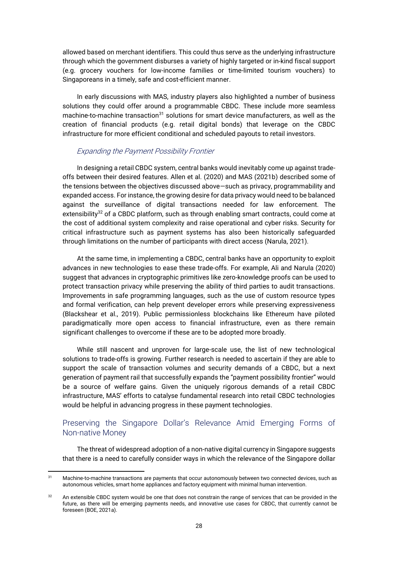allowed based on merchant identifiers. This could thus serve as the underlying infrastructure through which the government disburses a variety of highly targeted or in-kind fiscal support (e.g. grocery vouchers for low-income families or time-limited tourism vouchers) to Singaporeans in a timely, safe and cost-efficient manner.

In early discussions with MAS, industry players also highlighted a number of business solutions they could offer around a programmable CBDC. These include more seamless machine-to-machine transaction $31$  solutions for smart device manufacturers, as well as the creation of financial products (e.g. retail digital bonds) that leverage on the CBDC infrastructure for more efficient conditional and scheduled payouts to retail investors.

#### Expanding the Payment Possibility Frontier

In designing a retail CBDC system, central banks would inevitably come up against tradeoffs between their desired features. Allen et al. (2020) and MAS (2021b) described some of the tensions between the objectives discussed above—such as privacy, programmability and expanded access. For instance, the growing desire for data privacy would need to be balanced against the surveillance of digital transactions needed for law enforcement. The extensibility<sup>32</sup> of a CBDC platform, such as through enabling smart contracts, could come at the cost of additional system complexity and raise operational and cyber risks. Security for critical infrastructure such as payment systems has also been historically safeguarded through limitations on the number of participants with direct access (Narula, 2021).

At the same time, in implementing a CBDC, central banks have an opportunity to exploit advances in new technologies to ease these trade-offs. For example, Ali and Narula (2020) suggest that advances in cryptographic primitives like zero-knowledge proofs can be used to protect transaction privacy while preserving the ability of third parties to audit transactions. Improvements in safe programming languages, such as the use of custom resource types and formal verification, can help prevent developer errors while preserving expressiveness (Blackshear et al., 2019). Public permissionless blockchains like Ethereum have piloted paradigmatically more open access to financial infrastructure, even as there remain significant challenges to overcome if these are to be adopted more broadly.

While still nascent and unproven for large-scale use, the list of new technological solutions to trade-offs is growing. Further research is needed to ascertain if they are able to support the scale of transaction volumes and security demands of a CBDC, but a next generation of payment rail that successfully expands the "payment possibility frontier" would be a source of welfare gains. Given the uniquely rigorous demands of a retail CBDC infrastructure, MAS' efforts to catalyse fundamental research into retail CBDC technologies would be helpful in advancing progress in these payment technologies.

### Preserving the Singapore Dollar's Relevance Amid Emerging Forms of Non-native Money

The threat of widespread adoption of a non-native digital currency in Singapore suggests that there is a need to carefully consider ways in which the relevance of the Singapore dollar

<sup>&</sup>lt;sup>31</sup> Machine-to-machine transactions are payments that occur autonomously between two connected devices, such as autonomous vehicles, smart home appliances and factory equipment with minimal human intervention.

<sup>&</sup>lt;sup>32</sup> An extensible CBDC system would be one that does not constrain the range of services that can be provided in the future, as there will be emerging payments needs, and innovative use cases for CBDC, that currently cannot be foreseen (BOE, 2021a).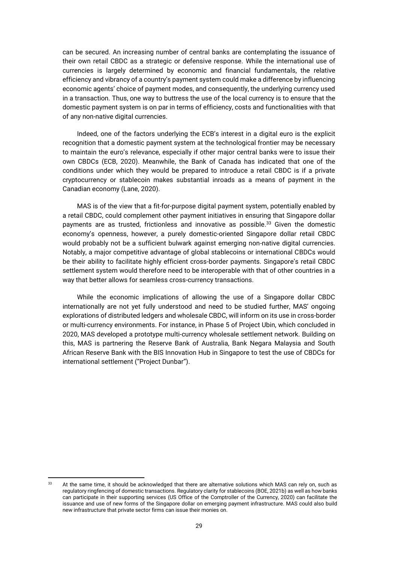can be secured. An increasing number of central banks are contemplating the issuance of their own retail CBDC as a strategic or defensive response. While the international use of currencies is largely determined by economic and financial fundamentals, the relative efficiency and vibrancy of a country's payment system could make a difference by influencing economic agents' choice of payment modes, and consequently, the underlying currency used in a transaction. Thus, one way to buttress the use of the local currency is to ensure that the domestic payment system is on par in terms of efficiency, costs and functionalities with that of any non-native digital currencies.

Indeed, one of the factors underlying the ECB's interest in a digital euro is the explicit recognition that a domestic payment system at the technological frontier may be necessary to maintain the euro's relevance, especially if other major central banks were to issue their own CBDCs (ECB, 2020). Meanwhile, the Bank of Canada has indicated that one of the conditions under which they would be prepared to introduce a retail CBDC is if a private cryptocurrency or stablecoin makes substantial inroads as a means of payment in the Canadian economy (Lane, 2020).

MAS is of the view that a fit-for-purpose digital payment system, potentially enabled by a retail CBDC, could complement other payment initiatives in ensuring that Singapore dollar payments are as trusted, frictionless and innovative as possible.<sup>33</sup> Given the domestic economy's openness, however, a purely domestic-oriented Singapore dollar retail CBDC would probably not be a sufficient bulwark against emerging non-native digital currencies. Notably, a major competitive advantage of global stablecoins or international CBDCs would be their ability to facilitate highly efficient cross-border payments. Singapore's retail CBDC settlement system would therefore need to be interoperable with that of other countries in a way that better allows for seamless cross-currency transactions.

While the economic implications of allowing the use of a Singapore dollar CBDC internationally are not yet fully understood and need to be studied further, MAS' ongoing explorations of distributed ledgers and wholesale CBDC, will inform on its use in cross-border or multi-currency environments. For instance, in Phase 5 of Project Ubin, which concluded in 2020, MAS developed a prototype multi-currency wholesale settlement network. Building on this, MAS is partnering the Reserve Bank of Australia, Bank Negara Malaysia and South African Reserve Bank with the BIS Innovation Hub in Singapore to test the use of CBDCs for international settlement ("Project Dunbar").

<sup>33</sup> At the same time, it should be acknowledged that there are alternative solutions which MAS can rely on, such as regulatory ringfencing of domestic transactions. Regulatory clarity for stablecoins (BOE, 2021b) as well as how banks can participate in their supporting services (US Office of the Comptroller of the Currency, 2020) can facilitate the issuance and use of new forms of the Singapore dollar on emerging payment infrastructure. MAS could also build new infrastructure that private sector firms can issue their monies on.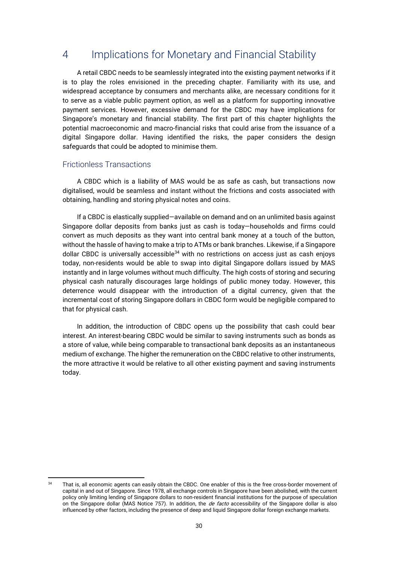## 4 Implications for Monetary and Financial Stability

A retail CBDC needs to be seamlessly integrated into the existing payment networks if it is to play the roles envisioned in the preceding chapter. Familiarity with its use, and widespread acceptance by consumers and merchants alike, are necessary conditions for it to serve as a viable public payment option, as well as a platform for supporting innovative payment services. However, excessive demand for the CBDC may have implications for Singapore's monetary and financial stability. The first part of this chapter highlights the potential macroeconomic and macro-financial risks that could arise from the issuance of a digital Singapore dollar. Having identified the risks, the paper considers the design safeguards that could be adopted to minimise them.

#### Frictionless Transactions

A CBDC which is a liability of MAS would be as safe as cash, but transactions now digitalised, would be seamless and instant without the frictions and costs associated with obtaining, handling and storing physical notes and coins.

If a CBDC is elastically supplied—available on demand and on an unlimited basis against Singapore dollar deposits from banks just as cash is today—households and firms could convert as much deposits as they want into central bank money at a touch of the button, without the hassle of having to make a trip to ATMs or bank branches. Likewise, if a Singapore dollar CBDC is universally accessible<sup>34</sup> with no restrictions on access just as cash enjoys today, non-residents would be able to swap into digital Singapore dollars issued by MAS instantly and in large volumes without much difficulty. The high costs of storing and securing physical cash naturally discourages large holdings of public money today. However, this deterrence would disappear with the introduction of a digital currency, given that the incremental cost of storing Singapore dollars in CBDC form would be negligible compared to that for physical cash.

In addition, the introduction of CBDC opens up the possibility that cash could bear interest. An interest-bearing CBDC would be similar to saving instruments such as bonds as a store of value, while being comparable to transactional bank deposits as an instantaneous medium of exchange. The higher the remuneration on the CBDC relative to other instruments, the more attractive it would be relative to all other existing payment and saving instruments today.

<sup>34</sup> That is, all economic agents can easily obtain the CBDC. One enabler of this is the free cross-border movement of capital in and out of Singapore. Since 1978, all exchange controls in Singapore have been abolished, with the current policy only limiting lending of Singapore dollars to non-resident financial institutions for the purpose of speculation on the Singapore dollar (MAS Notice 757). In addition, the *de facto* accessibility of the Singapore dollar is also influenced by other factors, including the presence of deep and liquid Singapore dollar foreign exchange markets.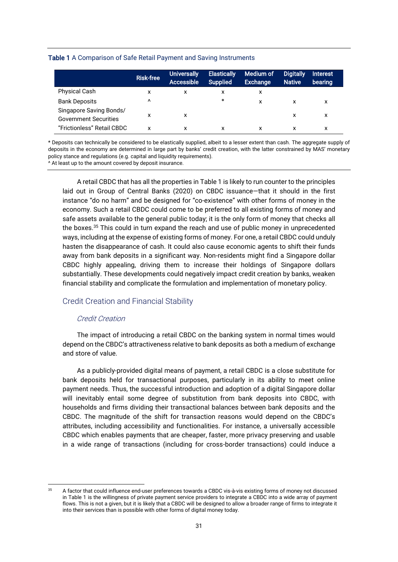#### Table 1 A Comparison of Safe Retail Payment and Saving Instruments

|                                                         | <b>Risk-free</b> | <b>Universally</b><br>Accessible | <b>Elastically</b><br><b>Supplied</b> | Medium of<br><b>Exchange</b> | <b>Digitally</b><br><b>Native</b> | <b>Interest</b><br>bearing |
|---------------------------------------------------------|------------------|----------------------------------|---------------------------------------|------------------------------|-----------------------------------|----------------------------|
| <b>Physical Cash</b>                                    | x                |                                  | x                                     | x                            |                                   |                            |
| <b>Bank Deposits</b>                                    | $\lambda$        |                                  | $\ast$                                | x                            |                                   | x                          |
| Singapore Saving Bonds/<br><b>Government Securities</b> | x                | x                                |                                       |                              | x                                 | x                          |
| "Frictionless" Retail CBDC                              | x                |                                  | x                                     |                              |                                   | x                          |

\* Deposits can technically be considered to be elastically supplied, albeit to a lesser extent than cash. The aggregate supply of deposits in the economy are determined in large part by banks' credit creation, with the latter constrained by MAS' monetary policy stance and regulations (e.g. capital and liquidity requirements).

^ At least up to the amount covered by deposit insurance.

A retail CBDC that has all the properties in Table 1 is likely to run counter to the principles laid out in Group of Central Banks (2020) on CBDC issuance—that it should in the first instance "do no harm" and be designed for "co-existence" with other forms of money in the economy. Such a retail CBDC could come to be preferred to all existing forms of money and safe assets available to the general public today; it is the only form of money that checks all the boxes.<sup>35</sup> This could in turn expand the reach and use of public money in unprecedented ways, including at the expense of existing forms of money. For one, a retail CBDC could unduly hasten the disappearance of cash. It could also cause economic agents to shift their funds away from bank deposits in a significant way. Non-residents might find a Singapore dollar CBDC highly appealing, driving them to increase their holdings of Singapore dollars substantially. These developments could negatively impact credit creation by banks, weaken financial stability and complicate the formulation and implementation of monetary policy.

### Credit Creation and Financial Stability

#### Credit Creation

The impact of introducing a retail CBDC on the banking system in normal times would depend on the CBDC's attractiveness relative to bank deposits as both a medium of exchange and store of value.

As a publicly-provided digital means of payment, a retail CBDC is a close substitute for bank deposits held for transactional purposes, particularly in its ability to meet online payment needs. Thus, the successful introduction and adoption of a digital Singapore dollar will inevitably entail some degree of substitution from bank deposits into CBDC, with households and firms dividing their transactional balances between bank deposits and the CBDC. The magnitude of the shift for transaction reasons would depend on the CBDC's attributes, including accessibility and functionalities. For instance, a universally accessible CBDC which enables payments that are cheaper, faster, more privacy preserving and usable in a wide range of transactions (including for cross-border transactions) could induce a

<sup>35</sup> A factor that could influence end-user preferences towards a CBDC vis-à-vis existing forms of money not discussed in Table 1 is the willingness of private payment service providers to integrate a CBDC into a wide array of payment flows. This is not a given, but it is likely that a CBDC will be designed to allow a broader range of firms to integrate it into their services than is possible with other forms of digital money today.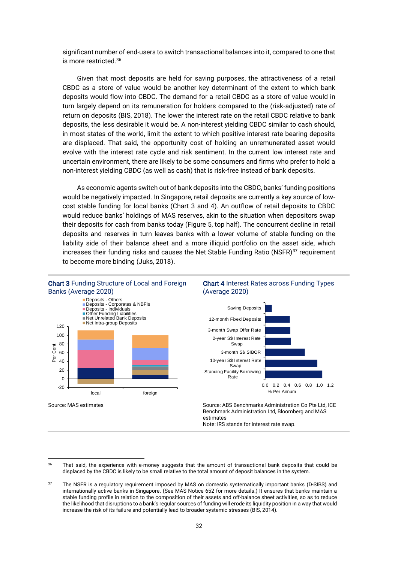significant number of end-users to switch transactional balances into it, compared to one that is more restricted.<sup>36</sup>

Given that most deposits are held for saving purposes, the attractiveness of a retail CBDC as a store of value would be another key determinant of the extent to which bank deposits would flow into CBDC. The demand for a retail CBDC as a store of value would in turn largely depend on its remuneration for holders compared to the (risk-adjusted) rate of return on deposits (BIS, 2018). The lower the interest rate on the retail CBDC relative to bank deposits, the less desirable it would be. A non-interest yielding CBDC similar to cash should, in most states of the world, limit the extent to which positive interest rate bearing deposits are displaced. That said, the opportunity cost of holding an unremunerated asset would evolve with the interest rate cycle and risk sentiment. In the current low interest rate and uncertain environment, there are likely to be some consumers and firms who prefer to hold a non-interest yielding CBDC (as well as cash) that is risk-free instead of bank deposits.

As economic agents switch out of bank deposits into the CBDC, banks' funding positions would be negatively impacted. In Singapore, retail deposits are currently a key source of lowcost stable funding for local banks (Chart 3 and 4). An outflow of retail deposits to CBDC would reduce banks' holdings of MAS reserves, akin to the situation when depositors swap their deposits for cash from banks today (Figure 5, top half). The concurrent decline in retail deposits and reserves in turn leaves banks with a lower volume of stable funding on the liability side of their balance sheet and a more illiquid portfolio on the asset side, which increases their funding risks and causes the Net Stable Funding Ratio (NSFR) $37$  requirement to become more binding (Juks, 2018).







Benchmark Administration Ltd, Bloomberg and MAS estimates Note: IRS stands for interest rate swap.

<sup>&</sup>lt;sup>36</sup> That said, the experience with e-money suggests that the amount of transactional bank deposits that could be displaced by the CBDC is likely to be small relative to the total amount of deposit balances in the system.

<sup>&</sup>lt;sup>37</sup> The NSFR is a regulatory requirement imposed by MAS on domestic systematically important banks (D-SIBS) and internationally active banks in Singapore. (See MAS Notice 652 for more details.) It ensures that banks maintain a stable funding profile in relation to the composition of their assets and off-balance sheet activities, so as to reduce the likelihood that disruptions to a bank's regular sources of funding will erode its liquidity position in a way that would increase the risk of its failure and potentially lead to broader systemic stresses (BIS, 2014).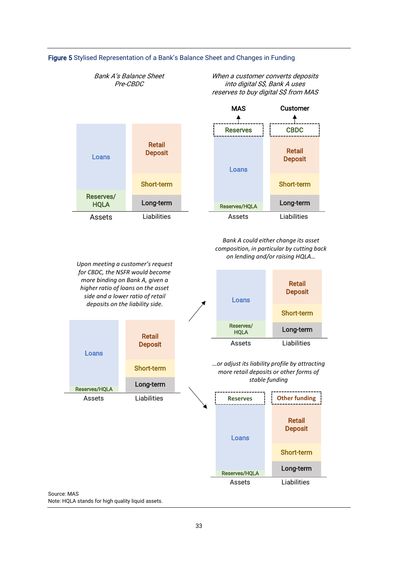

#### Figure 5 Stylised Representation of a Bank's Balance Sheet and Changes in Funding

When a customer converts deposits into digital S\$, Bank A uses

Bank A's Balance Sheet Pre-CBDC

Source: MAS Note: HQLA stands for high quality liquid assets.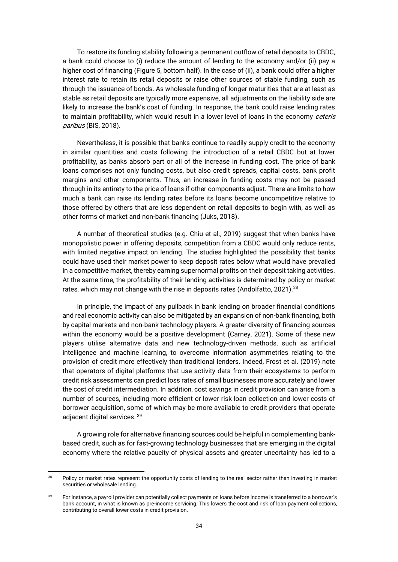To restore its funding stability following a permanent outflow of retail deposits to CBDC, a bank could choose to (i) reduce the amount of lending to the economy and/or (ii) pay a higher cost of financing (Figure 5, bottom half). In the case of (ii), a bank could offer a higher interest rate to retain its retail deposits or raise other sources of stable funding, such as through the issuance of bonds. As wholesale funding of longer maturities that are at least as stable as retail deposits are typically more expensive, all adjustments on the liability side are likely to increase the bank's cost of funding. In response, the bank could raise lending rates to maintain profitability, which would result in a lower level of loans in the economy ceteris paribus (BIS, 2018).

Nevertheless, it is possible that banks continue to readily supply credit to the economy in similar quantities and costs following the introduction of a retail CBDC but at lower profitability, as banks absorb part or all of the increase in funding cost. The price of bank loans comprises not only funding costs, but also credit spreads, capital costs, bank profit margins and other components. Thus, an increase in funding costs may not be passed through in its entirety to the price of loans if other components adjust. There are limits to how much a bank can raise its lending rates before its loans become uncompetitive relative to those offered by others that are less dependent on retail deposits to begin with, as well as other forms of market and non-bank financing (Juks, 2018).

A number of theoretical studies (e.g. Chiu et al., 2019) suggest that when banks have monopolistic power in offering deposits, competition from a CBDC would only reduce rents, with limited negative impact on lending. The studies highlighted the possibility that banks could have used their market power to keep deposit rates below what would have prevailed in a competitive market, thereby earning supernormal profits on their deposit taking activities. At the same time, the profitability of their lending activities is determined by policy or market rates, which may not change with the rise in deposits rates (Andolfatto, 2021).<sup>38</sup>

In principle, the impact of any pullback in bank lending on broader financial conditions and real economic activity can also be mitigated by an expansion of non-bank financing, both by capital markets and non-bank technology players. A greater diversity of financing sources within the economy would be a positive development (Carney, 2021). Some of these new players utilise alternative data and new technology-driven methods, such as artificial intelligence and machine learning, to overcome information asymmetries relating to the provision of credit more effectively than traditional lenders. Indeed, Frost et al. (2019) note that operators of digital platforms that use activity data from their ecosystems to perform credit risk assessments can predict loss rates of small businesses more accurately and lower the cost of credit intermediation. In addition, cost savings in credit provision can arise from a number of sources, including more efficient or lower risk loan collection and lower costs of borrower acquisition, some of which may be more available to credit providers that operate adjacent digital services. <sup>39</sup>

A growing role for alternative financing sources could be helpful in complementing bankbased credit, such as for fast-growing technology businesses that are emerging in the digital economy where the relative paucity of physical assets and greater uncertainty has led to a

<sup>&</sup>lt;sup>38</sup> Policy or market rates represent the opportunity costs of lending to the real sector rather than investing in market securities or wholesale lending.

<sup>&</sup>lt;sup>39</sup> For instance, a payroll provider can potentially collect payments on loans before income is transferred to a borrower's bank account, in what is known as pre-income servicing. This lowers the cost and risk of loan payment collections, contributing to overall lower costs in credit provision.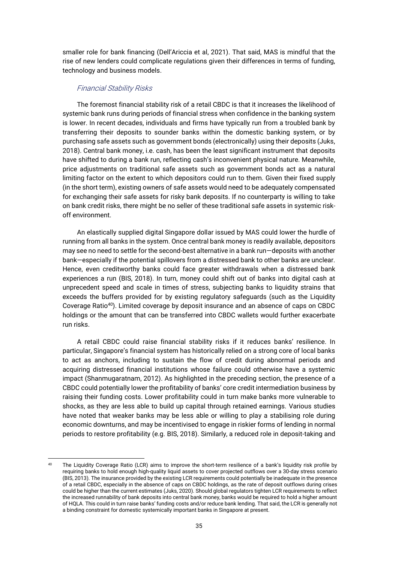smaller role for bank financing (Dell'Ariccia et al, 2021). That said, MAS is mindful that the rise of new lenders could complicate regulations given their differences in terms of funding, technology and business models.

#### Financial Stability Risks

The foremost financial stability risk of a retail CBDC is that it increases the likelihood of systemic bank runs during periods of financial stress when confidence in the banking system is lower. In recent decades, individuals and firms have typically run from a troubled bank by transferring their deposits to sounder banks within the domestic banking system, or by purchasing safe assets such as government bonds (electronically) using their deposits (Juks, 2018). Central bank money, i.e. cash, has been the least significant instrument that deposits have shifted to during a bank run, reflecting cash's inconvenient physical nature. Meanwhile, price adjustments on traditional safe assets such as government bonds act as a natural limiting factor on the extent to which depositors could run to them. Given their fixed supply (in the short term), existing owners of safe assets would need to be adequately compensated for exchanging their safe assets for risky bank deposits. If no counterparty is willing to take on bank credit risks, there might be no seller of these traditional safe assets in systemic riskoff environment.

An elastically supplied digital Singapore dollar issued by MAS could lower the hurdle of running from all banks in the system. Once central bank money is readily available, depositors may see no need to settle for the second-best alternative in a bank run—deposits with another bank—especially if the potential spillovers from a distressed bank to other banks are unclear. Hence, even creditworthy banks could face greater withdrawals when a distressed bank experiences a run (BIS, 2018). In turn, money could shift out of banks into digital cash at unprecedent speed and scale in times of stress, subjecting banks to liquidity strains that exceeds the buffers provided for by existing regulatory safeguards (such as the Liquidity Coverage Ratio<sup>40</sup>). Limited coverage by deposit insurance and an absence of caps on CBDC holdings or the amount that can be transferred into CBDC wallets would further exacerbate run risks.

A retail CBDC could raise financial stability risks if it reduces banks' resilience. In particular, Singapore's financial system has historically relied on a strong core of local banks to act as anchors, including to sustain the flow of credit during abnormal periods and acquiring distressed financial institutions whose failure could otherwise have a systemic impact (Shanmugaratnam, 2012). As highlighted in the preceding section, the presence of a CBDC could potentially lower the profitability of banks' core credit intermediation business by raising their funding costs. Lower profitability could in turn make banks more vulnerable to shocks, as they are less able to build up capital through retained earnings. Various studies have noted that weaker banks may be less able or willing to play a stabilising role during economic downturns, and may be incentivised to engage in riskier forms of lending in normal periods to restore profitability (e.g. BIS, 2018). Similarly, a reduced role in deposit-taking and

<sup>&</sup>lt;sup>40</sup> The Liquidity Coverage Ratio (LCR) aims to improve the short-term resilience of a bank's liquidity risk profile by requiring banks to hold enough high-quality liquid assets to cover projected outflows over a 30-day stress scenario (BIS, 2013). The insurance provided by the existing LCR requirements could potentially be inadequate in the presence of a retail CBDC, especially in the absence of caps on CBDC holdings, as the rate of deposit outflows during crises could be higher than the current estimates (Juks, 2020). Should global regulators tighten LCR requirements to reflect the increased runnability of bank deposits into central bank money, banks would be required to hold a higher amount of HQLA. This could in turn raise banks' funding costs and/or reduce bank lending. That said, the LCR is generally not a binding constraint for domestic systemically important banks in Singapore at present.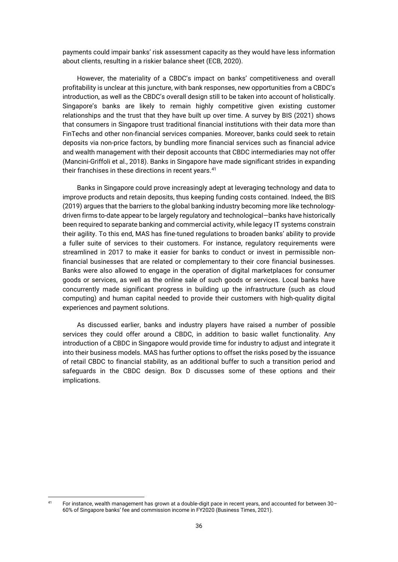payments could impair banks' risk assessment capacity as they would have less information about clients, resulting in a riskier balance sheet (ECB, 2020).

However, the materiality of a CBDC's impact on banks' competitiveness and overall profitability is unclear at this juncture, with bank responses, new opportunities from a CBDC's introduction, as well as the CBDC's overall design still to be taken into account of holistically. Singapore's banks are likely to remain highly competitive given existing customer relationships and the trust that they have built up over time. A survey by BIS (2021) shows that consumers in Singapore trust traditional financial institutions with their data more than FinTechs and other non-financial services companies. Moreover, banks could seek to retain deposits via non-price factors, by bundling more financial services such as financial advice and wealth management with their deposit accounts that CBDC intermediaries may not offer (Mancini-Griffoli et al., 2018). Banks in Singapore have made significant strides in expanding their franchises in these directions in recent years.<sup>41</sup>

Banks in Singapore could prove increasingly adept at leveraging technology and data to improve products and retain deposits, thus keeping funding costs contained. Indeed, the BIS (2019) argues that the barriers to the global banking industry becoming more like technologydriven firms to-date appear to be largely regulatory and technological—banks have historically been required to separate banking and commercial activity, while legacy IT systems constrain their agility. To this end, MAS has fine-tuned regulations to broaden banks' ability to provide a fuller suite of services to their customers. For instance, regulatory requirements were streamlined in 2017 to make it easier for banks to conduct or invest in permissible nonfinancial businesses that are related or complementary to their core financial businesses. Banks were also allowed to engage in the operation of digital marketplaces for consumer goods or services, as well as the online sale of such goods or services. Local banks have concurrently made significant progress in building up the infrastructure (such as cloud computing) and human capital needed to provide their customers with high-quality digital experiences and payment solutions.

As discussed earlier, banks and industry players have raised a number of possible services they could offer around a CBDC, in addition to basic wallet functionality. Any introduction of a CBDC in Singapore would provide time for industry to adjust and integrate it into their business models. MAS has further options to offset the risks posed by the issuance of retail CBDC to financial stability, as an additional buffer to such a transition period and safeguards in the CBDC design. Box D discusses some of these options and their implications.

<sup>41</sup> For instance, wealth management has grown at a double-digit pace in recent years, and accounted for between 30– 60% of Singapore banks' fee and commission income in FY2020 (Business Times, 2021).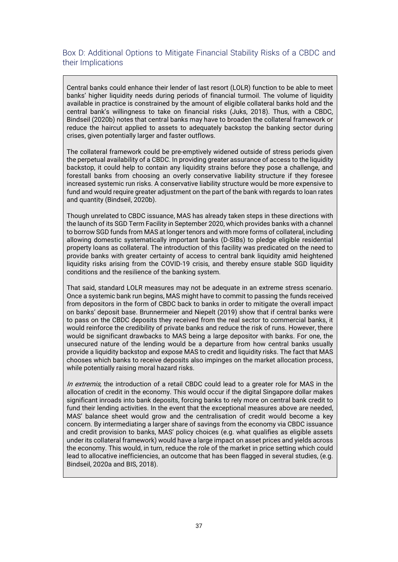### Box D: Additional Options to Mitigate Financial Stability Risks of a CBDC and their Implications

Central banks could enhance their lender of last resort (LOLR) function to be able to meet banks' higher liquidity needs during periods of financial turmoil. The volume of liquidity available in practice is constrained by the amount of eligible collateral banks hold and the central bank's willingness to take on financial risks (Juks, 2018). Thus, with a CBDC, Bindseil (2020b) notes that central banks may have to broaden the collateral framework or reduce the haircut applied to assets to adequately backstop the banking sector during crises, given potentially larger and faster outflows.

The collateral framework could be pre-emptively widened outside of stress periods given the perpetual availability of a CBDC. In providing greater assurance of access to the liquidity backstop, it could help to contain any liquidity strains before they pose a challenge, and forestall banks from choosing an overly conservative liability structure if they foresee increased systemic run risks. A conservative liability structure would be more expensive to fund and would require greater adjustment on the part of the bank with regards to loan rates and quantity (Bindseil, 2020b).

Though unrelated to CBDC issuance, MAS has already taken steps in these directions with the launch of its SGD Term Facility in September 2020, which provides banks with a channel to borrow SGD funds from MAS at longer tenors and with more forms of collateral, including allowing domestic systematically important banks (D-SIBs) to pledge eligible residential property loans as collateral. The introduction of this facility was predicated on the need to provide banks with greater certainty of access to central bank liquidity amid heightened liquidity risks arising from the COVID-19 crisis, and thereby ensure stable SGD liquidity conditions and the resilience of the banking system.

That said, standard LOLR measures may not be adequate in an extreme stress scenario. Once a systemic bank run begins, MAS might have to commit to passing the funds received from depositors in the form of CBDC back to banks in order to mitigate the overall impact on banks' deposit base. Brunnermeier and Niepelt (2019) show that if central banks were to pass on the CBDC deposits they received from the real sector to commercial banks, it would reinforce the credibility of private banks and reduce the risk of runs. However, there would be significant drawbacks to MAS being a large depositor with banks. For one, the unsecured nature of the lending would be a departure from how central banks usually provide a liquidity backstop and expose MAS to credit and liquidity risks. The fact that MAS chooses which banks to receive deposits also impinges on the market allocation process, while potentially raising moral hazard risks.

In extremis, the introduction of a retail CBDC could lead to a greater role for MAS in the allocation of credit in the economy. This would occur if the digital Singapore dollar makes significant inroads into bank deposits, forcing banks to rely more on central bank credit to fund their lending activities. In the event that the exceptional measures above are needed, MAS' balance sheet would grow and the centralisation of credit would become a key concern. By intermediating a larger share of savings from the economy via CBDC issuance and credit provision to banks, MAS' policy choices (e.g. what qualifies as eligible assets under its collateral framework) would have a large impact on asset prices and yields across the economy. This would, in turn, reduce the role of the market in price setting which could lead to allocative inefficiencies, an outcome that has been flagged in several studies, (e.g. Bindseil, 2020a and BIS, 2018).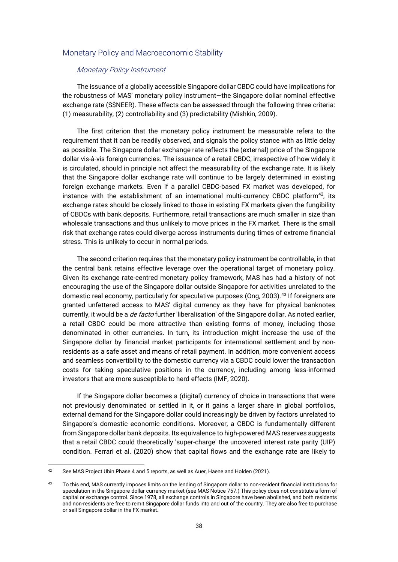#### Monetary Policy and Macroeconomic Stability

#### Monetary Policy Instrument

The issuance of a globally accessible Singapore dollar CBDC could have implications for the robustness of MAS' monetary policy instrument—the Singapore dollar nominal effective exchange rate (S\$NEER). These effects can be assessed through the following three criteria: (1) measurability, (2) controllability and (3) predictability (Mishkin, 2009).

The first criterion that the monetary policy instrument be measurable refers to the requirement that it can be readily observed, and signals the policy stance with as little delay as possible. The Singapore dollar exchange rate reflects the (external) price of the Singapore dollar vis-à-vis foreign currencies. The issuance of a retail CBDC, irrespective of how widely it is circulated, should in principle not affect the measurability of the exchange rate. It is likely that the Singapore dollar exchange rate will continue to be largely determined in existing foreign exchange markets. Even if a parallel CBDC-based FX market was developed, for instance with the establishment of an international multi-currency CBDC platform $42$ , its exchange rates should be closely linked to those in existing FX markets given the fungibility of CBDCs with bank deposits. Furthermore, retail transactions are much smaller in size than wholesale transactions and thus unlikely to move prices in the FX market. There is the small risk that exchange rates could diverge across instruments during times of extreme financial stress. This is unlikely to occur in normal periods.

The second criterion requires that the monetary policy instrument be controllable, in that the central bank retains effective leverage over the operational target of monetary policy. Given its exchange rate-centred monetary policy framework, MAS has had a history of not encouraging the use of the Singapore dollar outside Singapore for activities unrelated to the domestic real economy, particularly for speculative purposes (Ong, 2003).<sup>43</sup> If foreigners are granted unfettered access to MAS' digital currency as they have for physical banknotes currently, it would be a *de facto* further 'liberalisation' of the Singapore dollar. As noted earlier, a retail CBDC could be more attractive than existing forms of money, including those denominated in other currencies. In turn, its introduction might increase the use of the Singapore dollar by financial market participants for international settlement and by nonresidents as a safe asset and means of retail payment. In addition, more convenient access and seamless convertibility to the domestic currency via a CBDC could lower the transaction costs for taking speculative positions in the currency, including among less-informed investors that are more susceptible to herd effects (IMF, 2020).

If the Singapore dollar becomes a (digital) currency of choice in transactions that were not previously denominated or settled in it, or it gains a larger share in global portfolios, external demand for the Singapore dollar could increasingly be driven by factors unrelated to Singapore's domestic economic conditions. Moreover, a CBDC is fundamentally different from Singapore dollar bank deposits. Its equivalence to high-powered MAS reserves suggests that a retail CBDC could theoretically 'super-charge' the uncovered interest rate parity (UIP) condition. Ferrari et al. (2020) show that capital flows and the exchange rate are likely to

<sup>&</sup>lt;sup>42</sup> See MAS Project Ubin Phase 4 and 5 reports, as well as Auer, Haene and Holden (2021).

<sup>43</sup> To this end, MAS currently imposes limits on the lending of Singapore dollar to non-resident financial institutions for speculation in the Singapore dollar currency market (see MAS Notice 757.) This policy does not constitute a form of capital or exchange control. Since 1978, all exchange controls in Singapore have been abolished, and both residents and non-residents are free to remit Singapore dollar funds into and out of the country. They are also free to purchase or sell Singapore dollar in the FX market.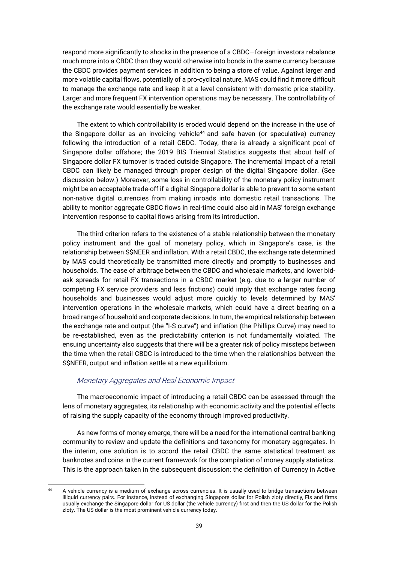respond more significantly to shocks in the presence of a CBDC—foreign investors rebalance much more into a CBDC than they would otherwise into bonds in the same currency because the CBDC provides payment services in addition to being a store of value. Against larger and more volatile capital flows, potentially of a pro-cyclical nature, MAS could find it more difficult to manage the exchange rate and keep it at a level consistent with domestic price stability. Larger and more frequent FX intervention operations may be necessary. The controllability of the exchange rate would essentially be weaker.

The extent to which controllability is eroded would depend on the increase in the use of the Singapore dollar as an invoicing vehicle $44$  and safe haven (or speculative) currency following the introduction of a retail CBDC. Today, there is already a significant pool of Singapore dollar offshore; the 2019 BIS Triennial Statistics suggests that about half of Singapore dollar FX turnover is traded outside Singapore. The incremental impact of a retail CBDC can likely be managed through proper design of the digital Singapore dollar. (See discussion below.) Moreover, some loss in controllability of the monetary policy instrument might be an acceptable trade-off if a digital Singapore dollar is able to prevent to some extent non-native digital currencies from making inroads into domestic retail transactions. The ability to monitor aggregate CBDC flows in real-time could also aid in MAS' foreign exchange intervention response to capital flows arising from its introduction.

The third criterion refers to the existence of a stable relationship between the monetary policy instrument and the goal of monetary policy, which in Singapore's case, is the relationship between S\$NEER and inflation. With a retail CBDC, the exchange rate determined by MAS could theoretically be transmitted more directly and promptly to businesses and households. The ease of arbitrage between the CBDC and wholesale markets, and lower bidask spreads for retail FX transactions in a CBDC market (e.g. due to a larger number of competing FX service providers and less frictions) could imply that exchange rates facing households and businesses would adjust more quickly to levels determined by MAS' intervention operations in the wholesale markets, which could have a direct bearing on a broad range of household and corporate decisions. In turn, the empirical relationship between the exchange rate and output (the "I-S curve") and inflation (the Phillips Curve) may need to be re-established, even as the predictability criterion is not fundamentally violated. The ensuing uncertainty also suggests that there will be a greater risk of policy missteps between the time when the retail CBDC is introduced to the time when the relationships between the S\$NEER, output and inflation settle at a new equilibrium.

#### Monetary Aggregates and Real Economic Impact

The macroeconomic impact of introducing a retail CBDC can be assessed through the lens of monetary aggregates, its relationship with economic activity and the potential effects of raising the supply capacity of the economy through improved productivity.

As new forms of money emerge, there will be a need for the international central banking community to review and update the definitions and taxonomy for monetary aggregates. In the interim, one solution is to accord the retail CBDC the same statistical treatment as banknotes and coins in the current framework for the compilation of money supply statistics. This is the approach taken in the subsequent discussion: the definition of Currency in Active

<sup>44</sup> A vehicle currency is a medium of exchange across currencies. It is usually used to bridge transactions between illiquid currency pairs. For instance, instead of exchanging Singapore dollar for Polish zloty directly, FIs and firms usually exchange the Singapore dollar for US dollar (the vehicle currency) first and then the US dollar for the Polish zloty. The US dollar is the most prominent vehicle currency today.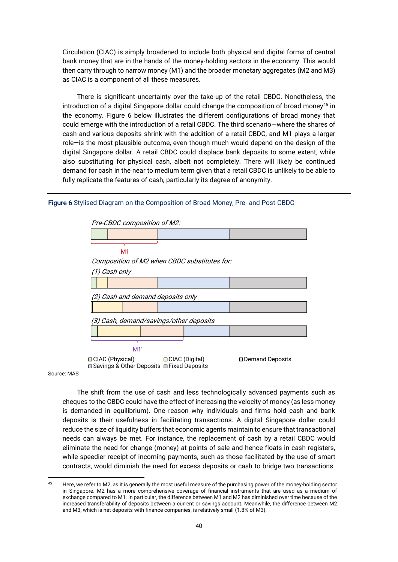Circulation (CIAC) is simply broadened to include both physical and digital forms of central bank money that are in the hands of the money-holding sectors in the economy. This would then carry through to narrow money (M1) and the broader monetary aggregates (M2 and M3) as CIAC is a component of all these measures.

There is significant uncertainty over the take-up of the retail CBDC. Nonetheless, the introduction of a digital Singapore dollar could change the composition of broad money<sup>45</sup> in the economy. Figure 6 below illustrates the different configurations of broad money that could emerge with the introduction of a retail CBDC. The third scenario—where the shares of cash and various deposits shrink with the addition of a retail CBDC, and M1 plays a larger role—is the most plausible outcome, even though much would depend on the design of the digital Singapore dollar. A retail CBDC could displace bank deposits to some extent, while also substituting for physical cash, albeit not completely. There will likely be continued demand for cash in the near to medium term given that a retail CBDC is unlikely to be able to fully replicate the features of cash, particularly its degree of anonymity.

#### Figure 6 Stylised Diagram on the Composition of Broad Money, Pre- and Post-CBDC



The shift from the use of cash and less technologically advanced payments such as cheques to the CBDC could have the effect of increasing the velocity of money (as less money is demanded in equilibrium). One reason why individuals and firms hold cash and bank deposits is their usefulness in facilitating transactions. A digital Singapore dollar could reduce the size of liquidity buffers that economic agents maintain to ensure that transactional needs can always be met. For instance, the replacement of cash by a retail CBDC would eliminate the need for change (money) at points of sale and hence floats in cash registers, while speedier receipt of incoming payments, such as those facilitated by the use of smart contracts, would diminish the need for excess deposits or cash to bridge two transactions.

<sup>&</sup>lt;sup>45</sup> Here, we refer to M2, as it is generally the most useful measure of the purchasing power of the money-holding sector in Singapore. M2 has a more comprehensive coverage of financial instruments that are used as a medium of exchange compared to M1. In particular, the difference between M1 and M2 has diminished over time because of the increased transferability of deposits between a current or savings account. Meanwhile, the difference between M2 and M3, which is net deposits with finance companies, is relatively small (1.8% of M3).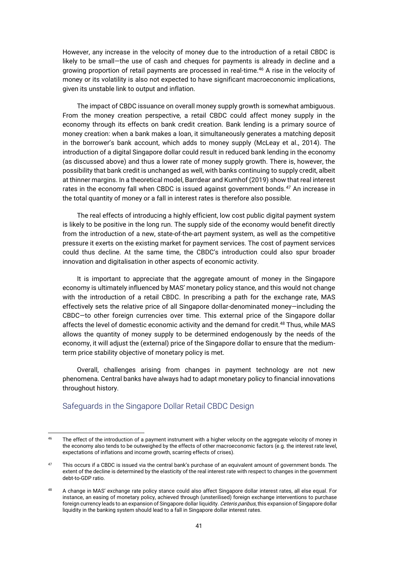However, any increase in the velocity of money due to the introduction of a retail CBDC is likely to be small—the use of cash and cheques for payments is already in decline and a growing proportion of retail payments are processed in real-time.<sup>46</sup> A rise in the velocity of money or its volatility is also not expected to have significant macroeconomic implications, given its unstable link to output and inflation.

The impact of CBDC issuance on overall money supply growth is somewhat ambiguous. From the money creation perspective, a retail CBDC could affect money supply in the economy through its effects on bank credit creation. Bank lending is a primary source of money creation: when a bank makes a loan, it simultaneously generates a matching deposit in the borrower's bank account, which adds to money supply (McLeay et al., 2014). The introduction of a digital Singapore dollar could result in reduced bank lending in the economy (as discussed above) and thus a lower rate of money supply growth. There is, however, the possibility that bank credit is unchanged as well, with banks continuing to supply credit, albeit at thinner margins. In a theoretical model, Barrdear and Kumhof (2019) show that real interest rates in the economy fall when CBDC is issued against government bonds.<sup>47</sup> An increase in the total quantity of money or a fall in interest rates is therefore also possible.

The real effects of introducing a highly efficient, low cost public digital payment system is likely to be positive in the long run. The supply side of the economy would benefit directly from the introduction of a new, state-of-the-art payment system, as well as the competitive pressure it exerts on the existing market for payment services. The cost of payment services could thus decline. At the same time, the CBDC's introduction could also spur broader innovation and digitalisation in other aspects of economic activity.

It is important to appreciate that the aggregate amount of money in the Singapore economy is ultimately influenced by MAS' monetary policy stance, and this would not change with the introduction of a retail CBDC. In prescribing a path for the exchange rate, MAS effectively sets the relative price of all Singapore dollar-denominated money—including the CBDC—to other foreign currencies over time. This external price of the Singapore dollar affects the level of domestic economic activity and the demand for credit.<sup>48</sup> Thus, while MAS allows the quantity of money supply to be determined endogenously by the needs of the economy, it will adjust the (external) price of the Singapore dollar to ensure that the mediumterm price stability objective of monetary policy is met.

Overall, challenges arising from changes in payment technology are not new phenomena. Central banks have always had to adapt monetary policy to financial innovations throughout history.

### Safeguards in the Singapore Dollar Retail CBDC Design

<sup>&</sup>lt;sup>46</sup> The effect of the introduction of a payment instrument with a higher velocity on the aggregate velocity of money in the economy also tends to be outweighed by the effects of other macroeconomic factors (e.g. the interest rate level, expectations of inflations and income growth, scarring effects of crises).

<sup>47</sup> This occurs if a CBDC is issued via the central bank's purchase of an equivalent amount of government bonds. The extent of the decline is determined by the elasticity of the real interest rate with respect to changes in the government debt-to-GDP ratio.

<sup>48</sup> A change in MAS' exchange rate policy stance could also affect Singapore dollar interest rates, all else equal. For instance, an easing of monetary policy, achieved through (unsterilised) foreign exchange interventions to purchase foreign currency leads to an expansion of Singapore dollar liquidity. Ceteris paribus, this expansion of Singapore dollar liquidity in the banking system should lead to a fall in Singapore dollar interest rates.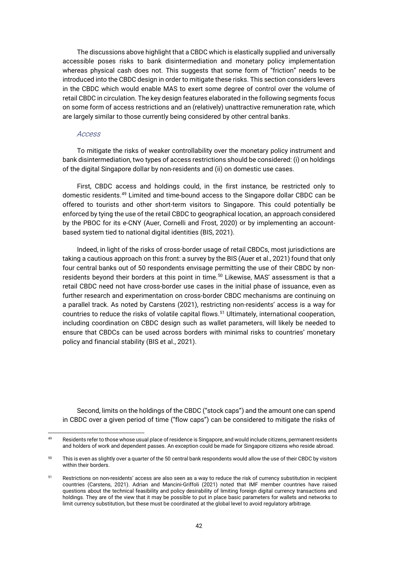The discussions above highlight that a CBDC which is elastically supplied and universally accessible poses risks to bank disintermediation and monetary policy implementation whereas physical cash does not. This suggests that some form of "friction" needs to be introduced into the CBDC design in order to mitigate these risks. This section considers levers in the CBDC which would enable MAS to exert some degree of control over the volume of retail CBDC in circulation. The key design features elaborated in the following segments focus on some form of access restrictions and an (relatively) unattractive remuneration rate, which are largely similar to those currently being considered by other central banks.

#### Access

To mitigate the risks of weaker controllability over the monetary policy instrument and bank disintermediation, two types of access restrictions should be considered: (i) on holdings of the digital Singapore dollar by non-residents and (ii) on domestic use cases.

First, CBDC access and holdings could, in the first instance, be restricted only to domestic residents.<sup>49</sup> Limited and time-bound access to the Singapore dollar CBDC can be offered to tourists and other short-term visitors to Singapore. This could potentially be enforced by tying the use of the retail CBDC to geographical location, an approach considered by the PBOC for its e-CNY (Auer, Cornelli and Frost, 2020) or by implementing an accountbased system tied to national digital identities (BIS, 2021).

Indeed, in light of the risks of cross-border usage of retail CBDCs, most jurisdictions are taking a cautious approach on this front: a survey by the BIS (Auer et al., 2021) found that only four central banks out of 50 respondents envisage permitting the use of their CBDC by nonresidents beyond their borders at this point in time.<sup>50</sup> Likewise, MAS' assessment is that a retail CBDC need not have cross-border use cases in the initial phase of issuance, even as further research and experimentation on cross-border CBDC mechanisms are continuing on a parallel track. As noted by Carstens (2021), restricting non-residents' access is a way for countries to reduce the risks of volatile capital flows.<sup>51</sup> Ultimately, international cooperation, including coordination on CBDC design such as wallet parameters, will likely be needed to ensure that CBDCs can be used across borders with minimal risks to countries' monetary policy and financial stability (BIS et al., 2021).

Second, limits on the holdings of the CBDC ("stock caps") and the amount one can spend in CBDC over a given period of time ("flow caps") can be considered to mitigate the risks of

<sup>49</sup> Residents refer to those whose usual place of residence is Singapore, and would include citizens, permanent residents and holders of work and dependent passes. An exception could be made for Singapore citizens who reside abroad.

<sup>&</sup>lt;sup>50</sup> This is even as slightly over a quarter of the 50 central bank respondents would allow the use of their CBDC by visitors within their borders.

<sup>51</sup> Restrictions on non-residents' access are also seen as a way to reduce the risk of currency substitution in recipient countries (Carstens, 2021). Adrian and Mancini-Griffoli (2021) noted that IMF member countries have raised questions about the technical feasibility and policy desirability of limiting foreign digital currency transactions and holdings. They are of the view that it may be possible to put in place basic parameters for wallets and networks to limit currency substitution, but these must be coordinated at the global level to avoid regulatory arbitrage.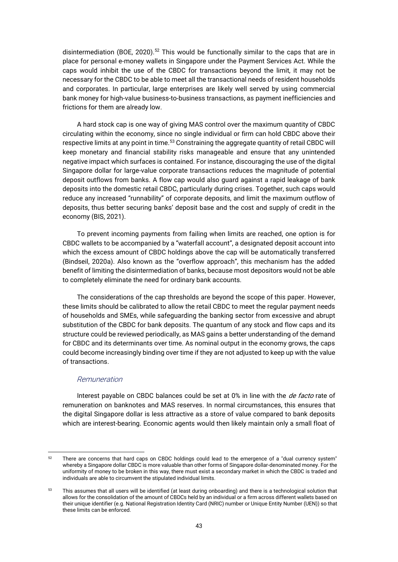disintermediation (BOE, 2020).<sup>52</sup> This would be functionally similar to the caps that are in place for personal e-money wallets in Singapore under the Payment Services Act. While the caps would inhibit the use of the CBDC for transactions beyond the limit, it may not be necessary for the CBDC to be able to meet all the transactional needs of resident households and corporates. In particular, large enterprises are likely well served by using commercial bank money for high-value business-to-business transactions, as payment inefficiencies and frictions for them are already low.

A hard stock cap is one way of giving MAS control over the maximum quantity of CBDC circulating within the economy, since no single individual or firm can hold CBDC above their respective limits at any point in time.<sup>53</sup> Constraining the aggregate quantity of retail CBDC will keep monetary and financial stability risks manageable and ensure that any unintended negative impact which surfaces is contained. For instance, discouraging the use of the digital Singapore dollar for large-value corporate transactions reduces the magnitude of potential deposit outflows from banks. A flow cap would also guard against a rapid leakage of bank deposits into the domestic retail CBDC, particularly during crises. Together, such caps would reduce any increased "runnability" of corporate deposits, and limit the maximum outflow of deposits, thus better securing banks' deposit base and the cost and supply of credit in the economy (BIS, 2021).

To prevent incoming payments from failing when limits are reached, one option is for CBDC wallets to be accompanied by a "waterfall account", a designated deposit account into which the excess amount of CBDC holdings above the cap will be automatically transferred (Bindseil, 2020a). Also known as the "overflow approach", this mechanism has the added benefit of limiting the disintermediation of banks, because most depositors would not be able to completely eliminate the need for ordinary bank accounts.

The considerations of the cap thresholds are beyond the scope of this paper. However, these limits should be calibrated to allow the retail CBDC to meet the regular payment needs of households and SMEs, while safeguarding the banking sector from excessive and abrupt substitution of the CBDC for bank deposits. The quantum of any stock and flow caps and its structure could be reviewed periodically, as MAS gains a better understanding of the demand for CBDC and its determinants over time. As nominal output in the economy grows, the caps could become increasingly binding over time if they are not adjusted to keep up with the value of transactions.

#### Remuneration

Interest payable on CBDC balances could be set at 0% in line with the *de facto* rate of remuneration on banknotes and MAS reserves. In normal circumstances, this ensures that the digital Singapore dollar is less attractive as a store of value compared to bank deposits which are interest-bearing. Economic agents would then likely maintain only a small float of

There are concerns that hard caps on CBDC holdings could lead to the emergence of a "dual currency system" whereby a Singapore dollar CBDC is more valuable than other forms of Singapore dollar-denominated money. For the uniformity of money to be broken in this way, there must exist a secondary market in which the CBDC is traded and individuals are able to circumvent the stipulated individual limits.

<sup>53</sup> This assumes that all users will be identified (at least during onboarding) and there is a technological solution that allows for the consolidation of the amount of CBDCs held by an individual or a firm across different wallets based on their unique identifier (e.g. National Registration Identity Card (NRIC) number or Unique Entity Number (UEN)) so that these limits can be enforced.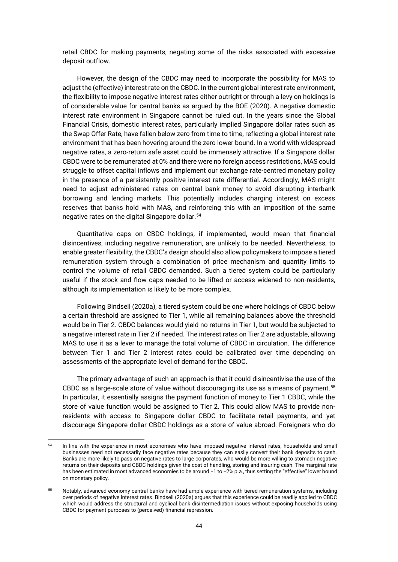retail CBDC for making payments, negating some of the risks associated with excessive deposit outflow.

However, the design of the CBDC may need to incorporate the possibility for MAS to adjust the (effective) interest rate on the CBDC. In the current global interest rate environment, the flexibility to impose negative interest rates either outright or through a levy on holdings is of considerable value for central banks as argued by the BOE (2020). A negative domestic interest rate environment in Singapore cannot be ruled out. In the years since the Global Financial Crisis, domestic interest rates, particularly implied Singapore dollar rates such as the Swap Offer Rate, have fallen below zero from time to time, reflecting a global interest rate environment that has been hovering around the zero lower bound. In a world with widespread negative rates, a zero-return safe asset could be immensely attractive. If a Singapore dollar CBDC were to be remunerated at 0% and there were no foreign access restrictions, MAS could struggle to offset capital inflows and implement our exchange rate-centred monetary policy in the presence of a persistently positive interest rate differential. Accordingly, MAS might need to adjust administered rates on central bank money to avoid disrupting interbank borrowing and lending markets. This potentially includes charging interest on excess reserves that banks hold with MAS, and reinforcing this with an imposition of the same negative rates on the digital Singapore dollar.<sup>54</sup>

Quantitative caps on CBDC holdings, if implemented, would mean that financial disincentives, including negative remuneration, are unlikely to be needed. Nevertheless, to enable greater flexibility, the CBDC's design should also allow policymakers to impose a tiered remuneration system through a combination of price mechanism and quantity limits to control the volume of retail CBDC demanded. Such a tiered system could be particularly useful if the stock and flow caps needed to be lifted or access widened to non-residents, although its implementation is likely to be more complex.

Following Bindseil (2020a), a tiered system could be one where holdings of CBDC below a certain threshold are assigned to Tier 1, while all remaining balances above the threshold would be in Tier 2. CBDC balances would yield no returns in Tier 1, but would be subjected to a negative interest rate in Tier 2 if needed. The interest rates on Tier 2 are adjustable, allowing MAS to use it as a lever to manage the total volume of CBDC in circulation. The difference between Tier 1 and Tier 2 interest rates could be calibrated over time depending on assessments of the appropriate level of demand for the CBDC.

The primary advantage of such an approach is that it could disincentivise the use of the CBDC as a large-scale store of value without discouraging its use as a means of payment.<sup>55</sup> In particular, it essentially assigns the payment function of money to Tier 1 CBDC, while the store of value function would be assigned to Tier 2. This could allow MAS to provide nonresidents with access to Singapore dollar CBDC to facilitate retail payments, and yet discourage Singapore dollar CBDC holdings as a store of value abroad. Foreigners who do

<sup>&</sup>lt;sup>54</sup> In line with the experience in most economies who have imposed negative interest rates, households and small businesses need not necessarily face negative rates because they can easily convert their bank deposits to cash. Banks are more likely to pass on negative rates to large corporates, who would be more willing to stomach negative returns on their deposits and CBDC holdings given the cost of handling, storing and insuring cash. The marginal rate has been estimated in most advanced economies to be around −1 to −2% p.a., thus setting the "effective" lower bound on monetary policy.

<sup>55</sup> Notably, advanced economy central banks have had ample experience with tiered remuneration systems, including over periods of negative interest rates. Bindseil (2020a) argues that this experience could be readily applied to CBDC which would address the structural and cyclical bank disintermediation issues without exposing households using CBDC for payment purposes to (perceived) financial repression.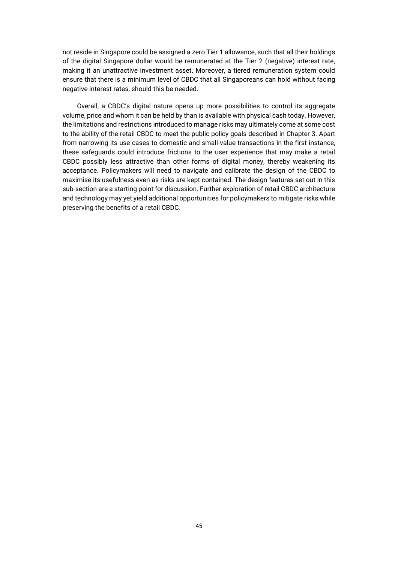not reside in Singapore could be assigned a zero Tier 1 allowance, such that all their holdings of the digital Singapore dollar would be remunerated at the Tier 2 (negative) interest rate, making it an unattractive investment asset. Moreover, a tiered remuneration system could ensure that there is a minimum level of CBDC that all Singaporeans can hold without facing negative interest rates, should this be needed.

Overall, a CBDC's digital nature opens up more possibilities to control its aggregate volume, price and whom it can be held by than is available with physical cash today. However, the limitations and restrictions introduced to manage risks may ultimately come at some cost to the ability of the retail CBDC to meet the public policy goals described in Chapter 3. Apart from narrowing its use cases to domestic and small-value transactions in the first instance, these safeguards could introduce frictions to the user experience that may make a retail CBDC possibly less attractive than other forms of digital money, thereby weakening its acceptance. Policymakers will need to navigate and calibrate the design of the CBDC to maximise its usefulness even as risks are kept contained. The design features set out in this sub-section are a starting point for discussion. Further exploration of retail CBDC architecture and technology may yet yield additional opportunities for policymakers to mitigate risks while preserving the benefits of a retail CBDC.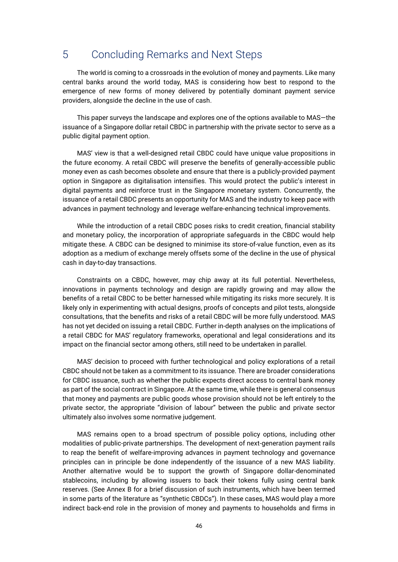## 5 Concluding Remarks and Next Steps

The world is coming to a crossroads in the evolution of money and payments. Like many central banks around the world today, MAS is considering how best to respond to the emergence of new forms of money delivered by potentially dominant payment service providers, alongside the decline in the use of cash.

This paper surveys the landscape and explores one of the options available to MAS—the issuance of a Singapore dollar retail CBDC in partnership with the private sector to serve as a public digital payment option.

MAS' view is that a well-designed retail CBDC could have unique value propositions in the future economy. A retail CBDC will preserve the benefits of generally-accessible public money even as cash becomes obsolete and ensure that there is a publicly-provided payment option in Singapore as digitalisation intensifies. This would protect the public's interest in digital payments and reinforce trust in the Singapore monetary system. Concurrently, the issuance of a retail CBDC presents an opportunity for MAS and the industry to keep pace with advances in payment technology and leverage welfare-enhancing technical improvements.

While the introduction of a retail CBDC poses risks to credit creation, financial stability and monetary policy, the incorporation of appropriate safeguards in the CBDC would help mitigate these. A CBDC can be designed to minimise its store-of-value function, even as its adoption as a medium of exchange merely offsets some of the decline in the use of physical cash in day-to-day transactions.

Constraints on a CBDC, however, may chip away at its full potential. Nevertheless, innovations in payments technology and design are rapidly growing and may allow the benefits of a retail CBDC to be better harnessed while mitigating its risks more securely. It is likely only in experimenting with actual designs, proofs of concepts and pilot tests, alongside consultations, that the benefits and risks of a retail CBDC will be more fully understood. MAS has not yet decided on issuing a retail CBDC. Further in-depth analyses on the implications of a retail CBDC for MAS' regulatory frameworks, operational and legal considerations and its impact on the financial sector among others, still need to be undertaken in parallel.

MAS' decision to proceed with further technological and policy explorations of a retail CBDC should not be taken as a commitment to its issuance. There are broader considerations for CBDC issuance, such as whether the public expects direct access to central bank money as part of the social contract in Singapore. At the same time, while there is general consensus that money and payments are public goods whose provision should not be left entirely to the private sector, the appropriate "division of labour" between the public and private sector ultimately also involves some normative judgement.

MAS remains open to a broad spectrum of possible policy options, including other modalities of public-private partnerships. The development of next-generation payment rails to reap the benefit of welfare-improving advances in payment technology and governance principles can in principle be done independently of the issuance of a new MAS liability. Another alternative would be to support the growth of Singapore dollar-denominated stablecoins, including by allowing issuers to back their tokens fully using central bank reserves. (See Annex B for a brief discussion of such instruments, which have been termed in some parts of the literature as "synthetic CBDCs"). In these cases, MAS would play a more indirect back-end role in the provision of money and payments to households and firms in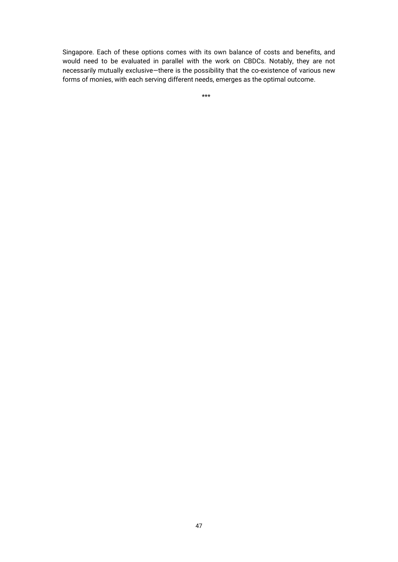Singapore. Each of these options comes with its own balance of costs and benefits, and would need to be evaluated in parallel with the work on CBDCs. Notably, they are not necessarily mutually exclusive—there is the possibility that the co-existence of various new forms of monies, with each serving different needs, emerges as the optimal outcome.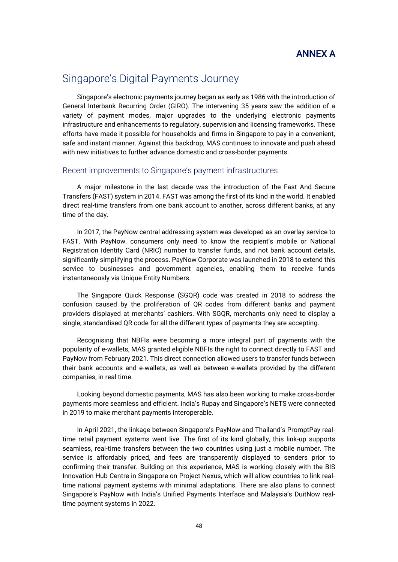

## Singapore's Digital Payments Journey

Singapore's electronic payments journey began as early as 1986 with the introduction of General Interbank Recurring Order (GIRO). The intervening 35 years saw the addition of a variety of payment modes, major upgrades to the underlying electronic payments infrastructure and enhancements to regulatory, supervision and licensing frameworks. These efforts have made it possible for households and firms in Singapore to pay in a convenient, safe and instant manner. Against this backdrop, MAS continues to innovate and push ahead with new initiatives to further advance domestic and cross-border payments.

### Recent improvements to Singapore's payment infrastructures

A major milestone in the last decade was the introduction of the Fast And Secure Transfers (FAST) system in 2014. FAST was among the first of its kind in the world. It enabled direct real-time transfers from one bank account to another, across different banks, at any time of the day.

In 2017, the PayNow central addressing system was developed as an overlay service to FAST. With PayNow, consumers only need to know the recipient's mobile or National Registration Identity Card (NRIC) number to transfer funds, and not bank account details, significantly simplifying the process. PayNow Corporate was launched in 2018 to extend this service to businesses and government agencies, enabling them to receive funds instantaneously via Unique Entity Numbers.

The Singapore Quick Response (SGQR) code was created in 2018 to address the confusion caused by the proliferation of QR codes from different banks and payment providers displayed at merchants' cashiers. With SGQR, merchants only need to display a single, standardised QR code for all the different types of payments they are accepting.

Recognising that NBFIs were becoming a more integral part of payments with the popularity of e-wallets, MAS granted eligible NBFIs the right to connect directly to FAST and PayNow from February 2021. This direct connection allowed users to transfer funds between their bank accounts and e-wallets, as well as between e-wallets provided by the different companies, in real time.

Looking beyond domestic payments, MAS has also been working to make cross-border payments more seamless and efficient. India's Rupay and Singapore's NETS were connected in 2019 to make merchant payments interoperable.

In April 2021, the linkage between Singapore's PayNow and Thailand's PromptPay realtime retail payment systems went live. The first of its kind globally, this link-up supports seamless, real-time transfers between the two countries using just a mobile number. The service is affordably priced, and fees are transparently displayed to senders prior to confirming their transfer. Building on this experience, MAS is working closely with the BIS Innovation Hub Centre in Singapore on Project Nexus, which will allow countries to link realtime national payment systems with minimal adaptations. There are also plans to connect Singapore's PayNow with India's Unified Payments Interface and Malaysia's DuitNow realtime payment systems in 2022.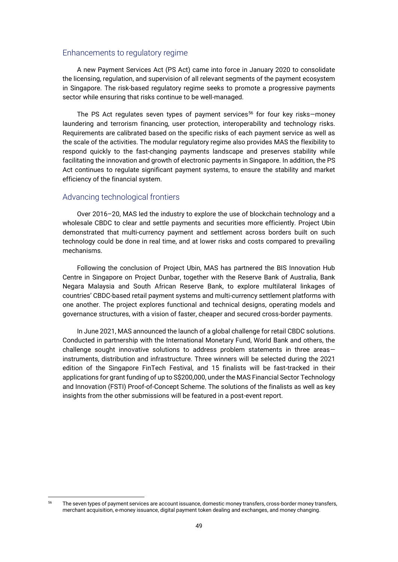#### Enhancements to regulatory regime

A new Payment Services Act (PS Act) came into force in January 2020 to consolidate the licensing, regulation, and supervision of all relevant segments of the payment ecosystem in Singapore. The risk-based regulatory regime seeks to promote a progressive payments sector while ensuring that risks continue to be well-managed.

The PS Act regulates seven types of payment services<sup>56</sup> for four key risks—money laundering and terrorism financing, user protection, interoperability and technology risks. Requirements are calibrated based on the specific risks of each payment service as well as the scale of the activities. The modular regulatory regime also provides MAS the flexibility to respond quickly to the fast-changing payments landscape and preserves stability while facilitating the innovation and growth of electronic payments in Singapore. In addition, the PS Act continues to regulate significant payment systems, to ensure the stability and market efficiency of the financial system.

#### Advancing technological frontiers

Over 2016–20, MAS led the industry to explore the use of blockchain technology and a wholesale CBDC to clear and settle payments and securities more efficiently. Project Ubin demonstrated that multi-currency payment and settlement across borders built on such technology could be done in real time, and at lower risks and costs compared to prevailing mechanisms.

Following the conclusion of Project Ubin, MAS has partnered the BIS Innovation Hub Centre in Singapore on Project Dunbar, together with the Reserve Bank of Australia, Bank Negara Malaysia and South African Reserve Bank, to explore multilateral linkages of countries' CBDC-based retail payment systems and multi-currency settlement platforms with one another. The project explores functional and technical designs, operating models and governance structures, with a vision of faster, cheaper and secured cross-border payments.

In June 2021, MAS announced the launch of a global challenge for retail CBDC solutions. Conducted in partnership with the International Monetary Fund, World Bank and others, the challenge sought innovative solutions to address problem statements in three areas instruments, distribution and infrastructure. Three winners will be selected during the 2021 edition of the Singapore FinTech Festival, and 15 finalists will be fast-tracked in their applications for grant funding of up to S\$200,000, under the MAS Financial Sector Technology and Innovation (FSTI) Proof-of-Concept Scheme. The solutions of the finalists as well as key insights from the other submissions will be featured in a post-event report.

<sup>56</sup> The seven types of payment services are account issuance, domestic money transfers, cross-border money transfers, merchant acquisition, e-money issuance, digital payment token dealing and exchanges, and money changing.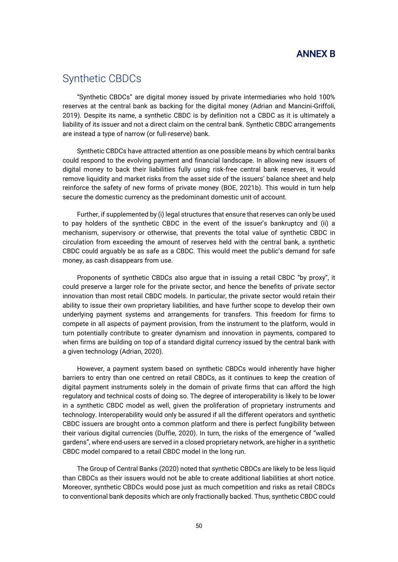## ANNEX B

## Synthetic CBDCs

"Synthetic CBDCs" are digital money issued by private intermediaries who hold 100% reserves at the central bank as backing for the digital money (Adrian and Mancini-Griffoli, 2019). Despite its name, a synthetic CBDC is by definition not a CBDC as it is ultimately a liability of its issuer and not a direct claim on the central bank. Synthetic CBDC arrangements are instead a type of narrow (or full-reserve) bank.

Synthetic CBDCs have attracted attention as one possible means by which central banks could respond to the evolving payment and financial landscape. In allowing new issuers of digital money to back their liabilities fully using risk-free central bank reserves, it would remove liquidity and market risks from the asset side of the issuers' balance sheet and help reinforce the safety of new forms of private money (BOE, 2021b). This would in turn help secure the domestic currency as the predominant domestic unit of account.

Further, if supplemented by (i) legal structures that ensure that reserves can only be used to pay holders of the synthetic CBDC in the event of the issuer's bankruptcy and (ii) a mechanism, supervisory or otherwise, that prevents the total value of synthetic CBDC in circulation from exceeding the amount of reserves held with the central bank, a synthetic CBDC could arguably be as safe as a CBDC. This would meet the public's demand for safe money, as cash disappears from use.

Proponents of synthetic CBDCs also argue that in issuing a retail CBDC "by proxy", it could preserve a larger role for the private sector, and hence the benefits of private sector innovation than most retail CBDC models. In particular, the private sector would retain their ability to issue their own proprietary liabilities, and have further scope to develop their own underlying payment systems and arrangements for transfers. This freedom for firms to compete in all aspects of payment provision, from the instrument to the platform, would in turn potentially contribute to greater dynamism and innovation in payments, compared to when firms are building on top of a standard digital currency issued by the central bank with a given technology (Adrian, 2020).

However, a payment system based on synthetic CBDCs would inherently have higher barriers to entry than one centred on retail CBDCs, as it continues to keep the creation of digital payment instruments solely in the domain of private firms that can afford the high regulatory and technical costs of doing so. The degree of interoperability is likely to be lower in a synthetic CBDC model as well, given the proliferation of proprietary instruments and technology. Interoperability would only be assured if all the different operators and synthetic CBDC issuers are brought onto a common platform and there is perfect fungibility between their various digital currencies (Duffie, 2020). In turn, the risks of the emergence of "walled gardens", where end-users are served in a closed proprietary network, are higher in a synthetic CBDC model compared to a retail CBDC model in the long run.

The Group of Central Banks (2020) noted that synthetic CBDCs are likely to be less liquid than CBDCs as their issuers would not be able to create additional liabilities at short notice. Moreover, synthetic CBDCs would pose just as much competition and risks as retail CBDCs to conventional bank deposits which are only fractionally backed. Thus, synthetic CBDC could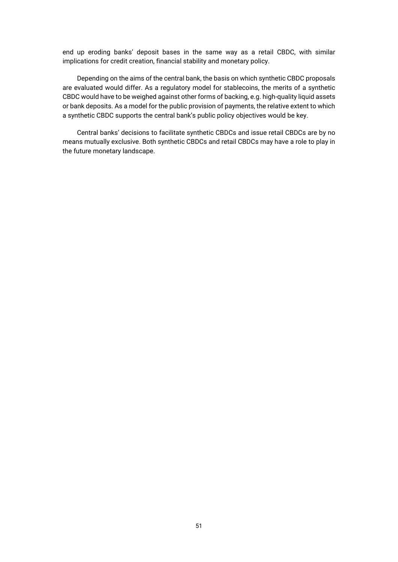end up eroding banks' deposit bases in the same way as a retail CBDC, with similar implications for credit creation, financial stability and monetary policy.

Depending on the aims of the central bank, the basis on which synthetic CBDC proposals are evaluated would differ. As a regulatory model for stablecoins, the merits of a synthetic CBDC would have to be weighed against other forms of backing, e.g. high-quality liquid assets or bank deposits. As a model for the public provision of payments, the relative extent to which a synthetic CBDC supports the central bank's public policy objectives would be key.

Central banks' decisions to facilitate synthetic CBDCs and issue retail CBDCs are by no means mutually exclusive. Both synthetic CBDCs and retail CBDCs may have a role to play in the future monetary landscape.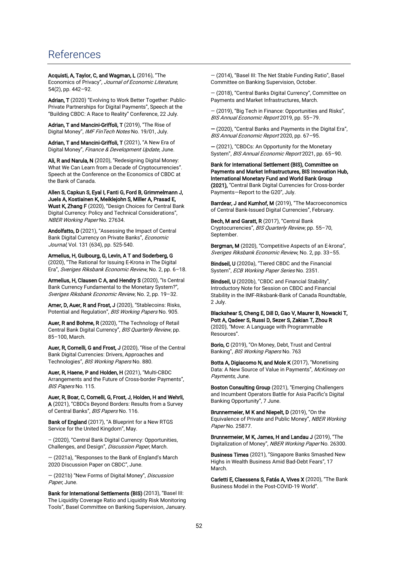## References

Acquisti, A, Taylor, C, and Wagman, L (2016), "The Economics of Privacy", Journal of Economic Literature, 54(2), pp. 442–92.

Adrian, T (2020) "Evolving to Work Better Together: Public-Private Partnerships for Digital Payments", Speech at the "Building CBDC: A Race to Reality" Conference, 22 July.

Adrian, T and Mancini-Griffoli, T (2019), "The Rise of Digital Money", IMF FinTech Notes No. 19/01, July.

Adrian, T and Mancini-Griffoli, T (2021), "A New Era of Digital Money", Finance & Development Update, June.

Ali, R and Narula, N (2020), "Redesigning Digital Money: What We Can Learn from a Decade of Cryptocurrencies". Speech at the Conference on the Economics of CBDC at the Bank of Canada.

Allen S, Capkun S, Eyal I, Fanti G, Ford B, Grimmelmann J, Juels A, Kostiainen K, Meiklejohn S, Miller A, Prasad E, Wust K, Zhang F (2020), "Design Choices for Central Bank Digital Currency: Policy and Technical Considerations", NBER Working Paper No. 27634.

Andolfatto, D (2021), "Assessing the Impact of Central Bank Digital Currency on Private Banks", Economic Journal, Vol. 131 (634), pp. 525-540.

Armelius, H, Guibourg, G, Levin, A T and Soderberg, G (2020), "The Rational for Issuing E-Krona in The Digital Era", Sveriges Riksbank Economic Review, No. 2, pp. 6–18.

Armelius, H, Clausen C A, and Hendry S (2020), "Is Central Bank Currency Fundamental to the Monetary System?", Sveriges Riksbank Economic Review, No. 2, pp. 19–32.

Arner, D, Auer, R and Frost, J (2020), "Stablecoins: Risks, Potential and Regulation", BIS Working Papers No. 905.

Auer, R and Bohme, R (2020), "The Technology of Retail Central Bank Digital Currency", BIS Quarterly Review, pp. 85–100, March.

Auer, R, Cornelli, G and Frost, J (2020), "Rise of the Central Bank Digital Currencies: Drivers, Approaches and Technologies", BIS Working Papers No. 880.

Auer, R, Haene, P and Holden, H (2021), "Multi-CBDC Arrangements and the Future of Cross-border Payments", BIS Papers No. 115.

Auer, R, Boar, C, Cornelli, G, Frost, J, Holden, H and Wehrli, A (2021), "CBDCs Beyond Borders: Results from a Survey of Central Banks", BIS Papers No. 116.

Bank of England (2017), "A Blueprint for a New RTGS Service for the United Kingdom", May.

– (2020), "Central Bank Digital Currency: Opportunities, Challenges, and Design", Discussion Paper, March.

— (2021a), "Responses to the Bank of England's March 2020 Discussion Paper on CBDC", June.

— (2021b) "New Forms of Digital Money", Discussion Paper, June.

Bank for International Settlements (BIS) (2013), "Basel III: The Liquidity Coverage Ratio and Liquidity Risk Monitoring Tools", Basel Committee on Banking Supervision, January. — (2014), "Basel III: The Net Stable Funding Ratio", Basel Committee on Banking Supervision, October.

— (2018), "Central Banks Digital Currency", Committee on Payments and Market Infrastructures, March.

— (2019), "Big Tech in Finance: Opportunities and Risks", BIS Annual Economic Report 2019, pp. 55–79.

— (2020), "Central Banks and Payments in the Digital Era", BIS Annual Economic Report 2020, pp. 67-95.

— (2021), "CBDCs: An Opportunity for the Monetary System", BIS Annual Economic Report 2021, pp. 65-90.

Bank for International Settlement (BIS), Committee on Payments and Market Infrastructures, BIS Innovation Hub, International Monetary Fund and World Bank Group (2021), "Central Bank Digital Currencies for Cross-border Payments—Report to the G20", July.

Barrdear, J and Kumhof, M (2019), "The Macroeconomics of Central Bank-Issued Digital Currencies", February.

Bech, M and Garatt, R (2017), "Central Bank Cryptocurrencies", BIS Quarterly Review, pp. 55–70, **September** 

Bergman, M (2020), "Competitive Aspects of an E-krona". Sveriges Riksbank Economic Review, No. 2, pp. 33–55.

Bindseil, U (2020a), "Tiered CBDC and the Financial System", ECB Working Paper Series No. 2351.

Bindseil, U (2020b), "CBDC and Financial Stability", Introductory Note for Session on CBDC and Financial Stability in the IMF-Riksbank-Bank of Canada Roundtable, 2 July.

Blackshear S, Cheng E, Dill D, Gao V, Maurer B, Nowacki T, Pott A, Qadeer S, Russi D, Sezer S, Zakian T, Zhou R (2020), "Move: A Language with Programmable Resources".

Borio, C (2019), "On Money, Debt, Trust and Central Banking", BIS Working Papers No. 763

Botta A, Digiacomo N, and Mole K (2017), "Monetising Data: A New Source of Value in Payments", McKinsey on Payments, June.

Boston Consulting Group (2021), "Emerging Challengers and Incumbent Operators Battle for Asia Pacific's Digital Banking Opportunity", 7 June.

Brunnermeier, M K and Niepelt, D (2019), "On the Equivalence of Private and Public Money", NBER Working Paper No. 25877.

Brunnermeier, M K, James, H and Landau J (2019), "The Digitalization of Money", NBER Working Paper No. 26300.

Business Times (2021), "Singapore Banks Smashed New Highs in Wealth Business Amid Bad-Debt Fears", 17 March.

Carletti E, Claessens S, Fatás A, Vives X (2020), "The Bank Business Model in the Post-COVID-19 World".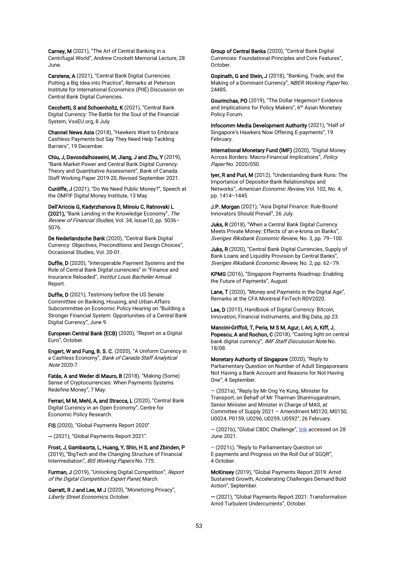Carney, M (2021), "The Art of Central Banking in a Centrifugal World", Andrew Crockett Memorial Lecture, 28 June.

Carstens, A (2021), "Central Bank Digital Currencies: Putting a Big Idea into Practice", Remarks at Peterson Institute for International Economics (PIIE) Discussion on Central Bank Digital Currencies.

Cecchetti, S and Schoenholtz, K (2021), "Central Bank Digital Currency: The Battle for the Soul of the Financial System, VoxEU.org, 8 July.

Channel News Asia (2018), "Hawkers Want to Embrace Cashless Payments but Say They Need Help Tackling Barriers", 19 December.

Chiu, J, Davoodalhosseini, M, Jiang, J and Zhu, Y (2019), "Bank Market Power and Central Bank Digital Currency: Theory and Quantitative Assessment", Bank of Canada Staff Working Paper 2019-20, Revised September 2021.

Cunliffe, J (2021), "Do We Need Public Money?", Speech at the OMFIF Digital Money Institute, 13 May.

Dell'Ariccia G, Kadyrzhanova D, Minoiu C, Ratnovski L (2021), "Bank Lending in the Knowledge Economy", The Review of Financial Studies, Vol. 34, Issue10, pp. 5036– 5076.

De Nederlandsche Bank (2020), "Central Bank Digital Currency: Objectives, Preconditions and Design Choices", Occasional Studies, Vol. 20-01.

Duffie, D (2020), "Interoperable Payment Systems and the Role of Central Bank Digital currencies" in "Finance and Insurance Reloaded", Institut Louis Bachelier Annual Report.

Duffie, D (2021), Testimony before the US Senate Committtee on Banking, Housing, and Urban Affairs Subcommittee on Economic Policy Hearing on "Building a Stronger Financial System: Opportunities of a Central Bank Digital Currency", June 9.

European Central Bank (ECB) (2020), "Report on a Digital Euro", October.

Engert, W and Fung, B. S. C. (2020), "A Uniform Currency in a Cashless Economy", Bank of Canada Staff Analytical Note 2020-7.

Fatás, A and Weder di Mauro, B (2018), "Making (Some) Sense of Cryptocurrencies: When Payments Systems Redefine Money", 7 May.

Ferrari, M M, Mehl, A, and Stracca, L (2020), "Central Bank Digital Currency in an Open Economy", Centre for Economic Policy Research.

FIS (2020), "Global Payments Report 2020".

— (2021), "Global Payments Report 2021".

Frost, J, Gambaorta, L, Huang, Y, Shin, H S, and Zbinden, P (2019), "BigTech and the Changing Structure of Financial Intermediation", BIS Working Papers No. 775.

Furman, J (2019), "Unlocking Digital Competition", Report of the Digital Competition Expert Panel, March.

Garratt, R J and Lee, M J (2020), "Monetizing Privacy", Liberty Street Economics, October.

Group of Central Banks (2020), "Central Bank Digital Currencies: Foundational Principles and Core Features", October.

Gopinath, G and Stein, J (2018), "Banking, Trade, and the Making of a Dominant Currency", NBER Working Paper No. 24485.

Gourinchas, PO (2019), "The Dollar Hegemon? Evidence and Implications for Policy Makers", 6<sup>th</sup> Asian Monetary Policy Forum.

Infocomm Media Development Authority (2021), "Half of Singapore's Hawkers Now Offering E-payments", 19 February.

International Monetary Fund (IMF) (2020), "Digital Money Across Borders: Macro-Financial Implications", Policy Paper No. 2020/050.

Iyer, R and Puri, M (2012), "Understanding Bank Runs: The Importance of Depositor-Bank Relationships and Networks", American Economic Review, Vol. 102, No. 4, pp. 1414–1445.

J.P. Morgan (2021), "Asia Digital Finance: Rule-Bound Innovators Should Prevail", 26 July.

Juks, R (2018), "When a Central Bank Digital Currency Meets Private Money: Effects of an e-krona on Banks", Sveriges Riksbank Economic Review, No. 3, pp. 79–100.

Juks, R (2020), "Central Bank Digital Currencies, Supply of Bank Loans and Liquidity Provision by Central Banks", Sveriges Riksbank Economic Review, No. 2, pp. 62–79.

KPMG (2016), "Singapore Payments Roadmap: Enabling the Future of Payments", August.

Lane, T (2020), "Money and Payments in the Digital Age", Remarks at the CFA Montreal FinTech RDV2020.

Lee, D (2015), Handbook of Digital Currency: Bitcoin, Innovation, Financial Instruments, and Big Data, pp.23.

Mancini-Griffoli, T, Peria, M S M, Agur, I, Ari, A, Kiff, J, Popescu, A and Rochon, C (2018), "Casting light on central bank digital currency", IMF Staff Discussion Note No. 18/08.

Monetary Authority of Singapore (2020), "Reply to Parliamentary Question on Number of Adult Singaporeans Not Having a Bank Account and Reasons for Not Having One", 4 September.

— (2021a), "Reply by Mr Ong Ye Kung, Minister for Transport, on Behalf of Mr Tharman Shanmugaratnam, Senior Minister and Minister in Charge of MAS, at Committee of Supply 2021 – Amendment M0120, M0150, U0024, P0159, U0296, U0259, U0592", 26 February.

— (2021b), "Global CBDC Challenge", [link](https://hackolosseum.apixplatform.com/hackathon/globalcbdcchallenge) accessed on 28 June 2021.

– (2021c), "Reply to Parliamentary Question on E-payments and Progress on the Roll Out of SGQR", 4 October.

McKinsey (2019), "Global Payments Report 2019: Amid Sustained Growth, Accelerating Challenges Demand Bold Action", September.

— (2021), "Global Payments Report 2021: Transformation Amid Turbulent Undercurrents", October.